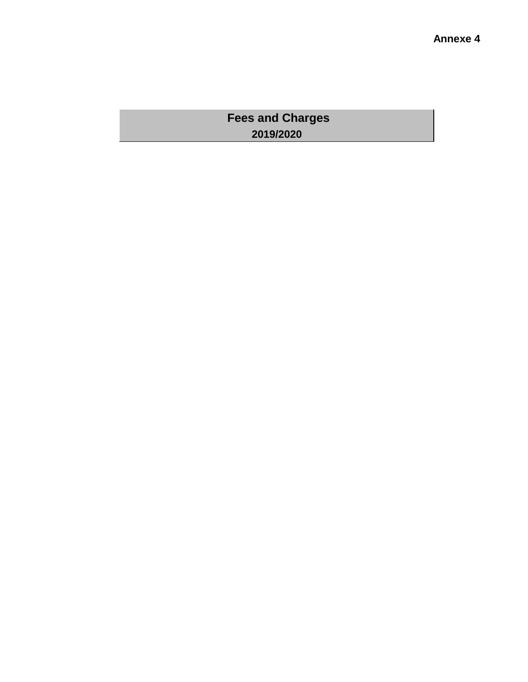# **Fees and Charges 2019/2020**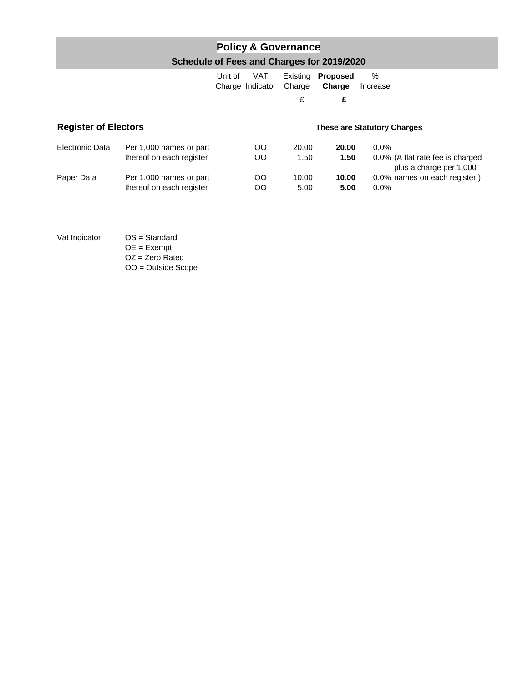# **Policy & Governance Schedule of Fees and Charges for 2019/2020**

|                             |                          | Unit of | VAT<br>Charge Indicator | Existing<br>Charge | <b>Proposed</b><br>Charge          | %<br>Increase                                               |
|-----------------------------|--------------------------|---------|-------------------------|--------------------|------------------------------------|-------------------------------------------------------------|
|                             |                          |         |                         | £                  | £                                  |                                                             |
| <b>Register of Electors</b> |                          |         |                         |                    | <b>These are Statutory Charges</b> |                                                             |
| Electronic Data             | Per 1,000 names or part  |         | OO.                     | 20.00              | 20.00                              | $0.0\%$                                                     |
|                             | thereof on each register |         | OO                      | 1.50               | 1.50                               | 0.0% (A flat rate fee is charged<br>plus a charge per 1,000 |
| Paper Data                  | Per 1,000 names or part  |         | OO                      | 10.00              | 10.00                              | 0.0% names on each register.)                               |
|                             | thereof on each register |         | OΟ                      | 5.00               | 5.00                               | $0.0\%$                                                     |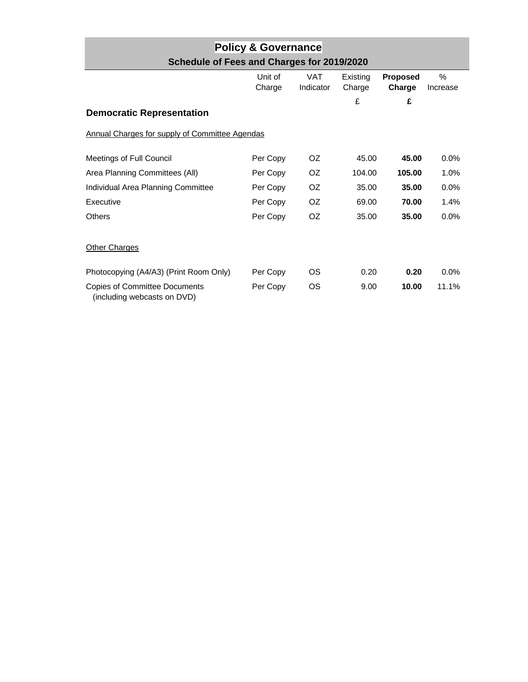| <b>Policy &amp; Governance</b>             |  |
|--------------------------------------------|--|
| Schedule of Fees and Charges for 2019/2020 |  |

|                                                                     | Unit of<br>Charge | <b>VAT</b><br>Indicator | Existing<br>Charge | <b>Proposed</b><br>Charge | $\%$<br>Increase |
|---------------------------------------------------------------------|-------------------|-------------------------|--------------------|---------------------------|------------------|
| <b>Democratic Representation</b>                                    |                   |                         | £                  | £                         |                  |
| Annual Charges for supply of Committee Agendas                      |                   |                         |                    |                           |                  |
| Meetings of Full Council                                            | Per Copy          | OZ.                     | 45.00              | 45.00                     | $0.0\%$          |
| Area Planning Committees (All)                                      | Per Copy          | OZ.                     | 104.00             | 105.00                    | 1.0%             |
| Individual Area Planning Committee                                  | Per Copy          | OZ.                     | 35.00              | 35.00                     | 0.0%             |
| Executive                                                           | Per Copy          | OZ.                     | 69.00              | 70.00                     | 1.4%             |
| <b>Others</b>                                                       | Per Copy          | OZ.                     | 35.00              | 35.00                     | $0.0\%$          |
| <b>Other Charges</b>                                                |                   |                         |                    |                           |                  |
| Photocopying (A4/A3) (Print Room Only)                              | Per Copy          | ΟS                      | 0.20               | 0.20                      | $0.0\%$          |
| <b>Copies of Committee Documents</b><br>(including webcasts on DVD) | Per Copy          | OS                      | 9.00               | 10.00                     | 11.1%            |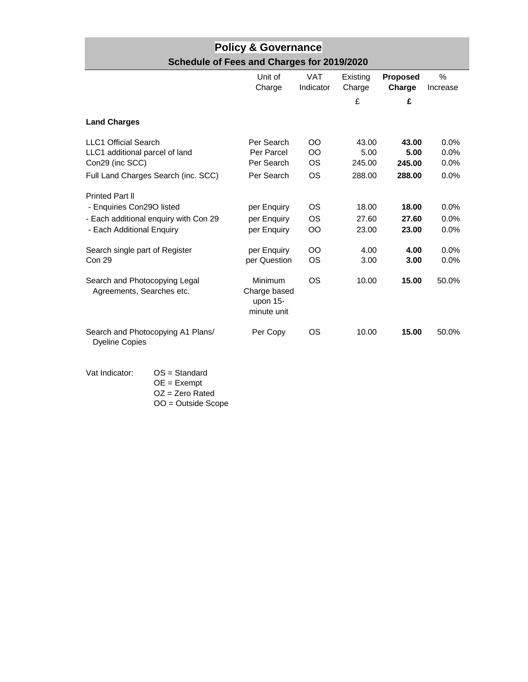| <b>Policy &amp; Governance</b>             |  |
|--------------------------------------------|--|
| Schedule of Fees and Charges for 2019/2020 |  |

|                                                                                                                           | Unit of<br>Charge                                    | <b>VAT</b><br>Indicator                     | Existing<br>Charge                | <b>Proposed</b><br>Charge         | $\frac{0}{0}$<br>Increase       |
|---------------------------------------------------------------------------------------------------------------------------|------------------------------------------------------|---------------------------------------------|-----------------------------------|-----------------------------------|---------------------------------|
|                                                                                                                           |                                                      |                                             | £                                 | £                                 |                                 |
| <b>Land Charges</b>                                                                                                       |                                                      |                                             |                                   |                                   |                                 |
| <b>LLC1 Official Search</b><br>LLC1 additional parcel of land<br>Con29 (inc SCC)<br>Full Land Charges Search (inc. SCC)   | Per Search<br>Per Parcel<br>Per Search<br>Per Search | $_{\rm OO}$<br>OO<br><b>OS</b><br><b>OS</b> | 43.00<br>5.00<br>245.00<br>288.00 | 43.00<br>5.00<br>245.00<br>288.00 | 0.0%<br>0.0%<br>$0.0\%$<br>0.0% |
| <b>Printed Part II</b><br>- Enquiries Con29O listed<br>- Each additional enquiry with Con 29<br>- Each Additional Enquiry | per Enquiry<br>per Enquiry<br>per Enquiry            | OS<br>OS.<br>OO                             | 18.00<br>27.60<br>23.00           | 18.00<br>27.60<br>23.00           | $0.0\%$<br>0.0%<br>0.0%         |
| Search single part of Register<br><b>Con 29</b>                                                                           | per Enquiry<br>per Question                          | OO<br><b>OS</b>                             | 4.00<br>3.00                      | 4.00<br>3.00                      | 0.0%<br>0.0%                    |
| Search and Photocopying Legal<br>Agreements, Searches etc.                                                                | Minimum<br>Charge based<br>upon $15-$<br>minute unit | OS                                          | 10.00                             | 15.00                             | 50.0%                           |
| Search and Photocopying A1 Plans/<br><b>Dyeline Copies</b>                                                                | Per Copy                                             | OS                                          | 10.00                             | 15.00                             | 50.0%                           |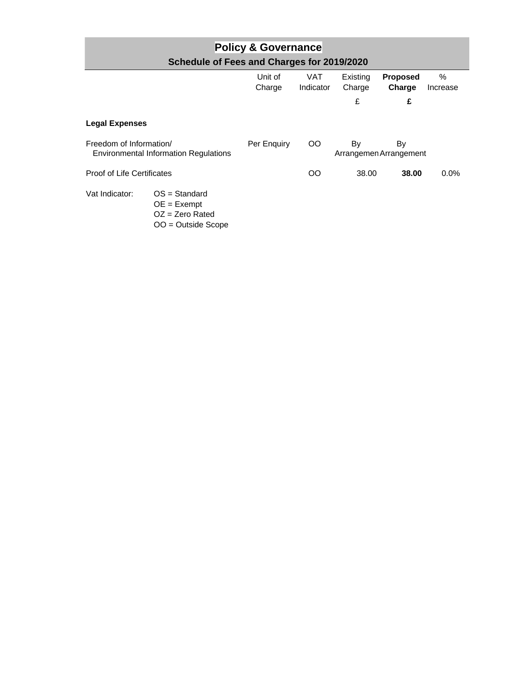| <b>Policy &amp; Governance</b><br>Schedule of Fees and Charges for 2019/2020 |                                                                               |                   |                  |                    |                              |                  |  |
|------------------------------------------------------------------------------|-------------------------------------------------------------------------------|-------------------|------------------|--------------------|------------------------------|------------------|--|
|                                                                              |                                                                               | Unit of<br>Charge | VAT<br>Indicator | Existing<br>Charge | <b>Proposed</b><br>Charge    | $\%$<br>Increase |  |
|                                                                              |                                                                               |                   |                  | £                  | £                            |                  |  |
| <b>Legal Expenses</b>                                                        |                                                                               |                   |                  |                    |                              |                  |  |
|                                                                              | Freedom of Information/<br><b>Environmental Information Regulations</b>       |                   | OO.              | By                 | By<br>Arrangemen Arrangement |                  |  |
| <b>Proof of Life Certificates</b>                                            |                                                                               |                   | OO.              | 38.00              | 38.00                        | $0.0\%$          |  |
| Vat Indicator:                                                               | $OS = Standard$<br>$OE = Exempt$<br>$OZ = Zero$ Rated<br>$OO = Outside Score$ |                   |                  |                    |                              |                  |  |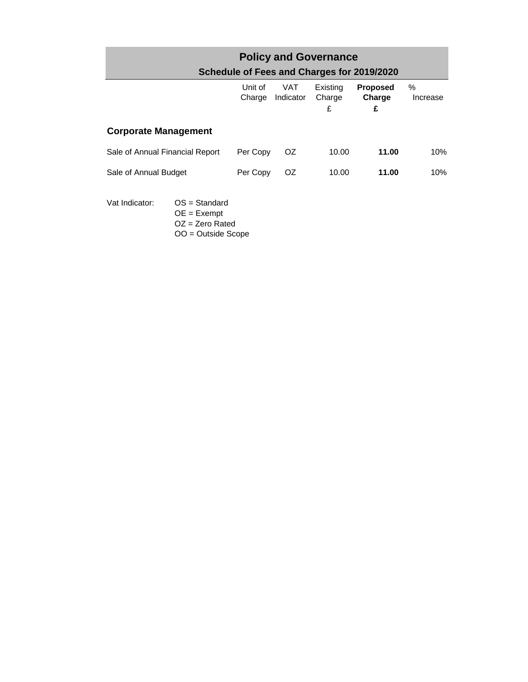| <b>Policy and Governance</b><br>Schedule of Fees and Charges for 2019/2020 |                                     |                   |                  |                         |                                |                  |  |  |  |
|----------------------------------------------------------------------------|-------------------------------------|-------------------|------------------|-------------------------|--------------------------------|------------------|--|--|--|
|                                                                            |                                     | Unit of<br>Charge | VAT<br>Indicator | Existing<br>Charge<br>£ | <b>Proposed</b><br>Charge<br>£ | $\%$<br>Increase |  |  |  |
| <b>Corporate Management</b>                                                |                                     |                   |                  |                         |                                |                  |  |  |  |
| Sale of Annual Financial Report                                            |                                     | Per Copy          | OZ.              | 10.00                   | 11.00                          | 10%              |  |  |  |
| Sale of Annual Budget                                                      |                                     | Per Copy          | OZ.              | 10.00                   | 11.00                          | 10%              |  |  |  |
| Vat Indicator:                                                             | $OS = Standard$<br>~-<br>European A |                   |                  |                         |                                |                  |  |  |  |

OE = Exempt

OZ = Zero Rated OO = Outside Scope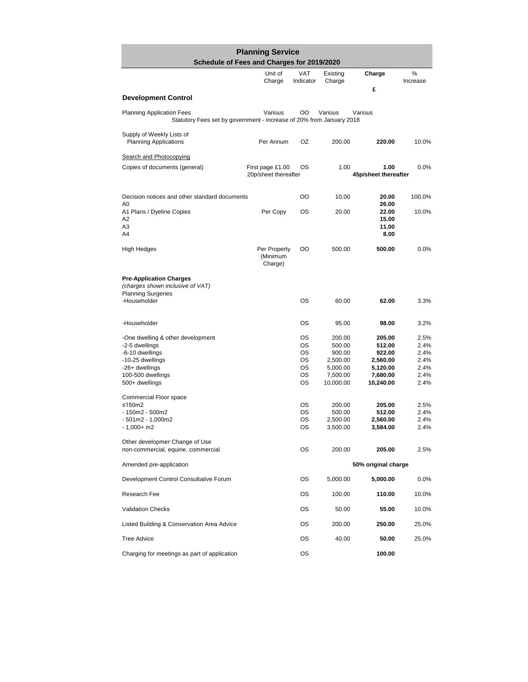| <b>Planning Service</b><br>Schedule of Fees and Charges for 2019/2020                                                                               |                                          |                                        |                                                                             |                                                                             |                                                      |  |
|-----------------------------------------------------------------------------------------------------------------------------------------------------|------------------------------------------|----------------------------------------|-----------------------------------------------------------------------------|-----------------------------------------------------------------------------|------------------------------------------------------|--|
|                                                                                                                                                     | Unit of<br>Charge                        | <b>VAT</b><br>Indicator                | Existing<br>Charge                                                          | Charge                                                                      | %<br>Increase                                        |  |
| <b>Development Control</b>                                                                                                                          |                                          |                                        |                                                                             | £                                                                           |                                                      |  |
| <b>Planning Application Fees</b><br>Statutory Fees set by government - increase of 20% from January 2018                                            | Various                                  | OO                                     | Various                                                                     | Various                                                                     |                                                      |  |
| Supply of Weekly Lists of<br><b>Planning Applications</b>                                                                                           | Per Annum                                | ΟZ                                     | 200.00                                                                      | 220.00                                                                      | 10.0%                                                |  |
| <b>Search and Photocopying</b>                                                                                                                      |                                          |                                        |                                                                             |                                                                             |                                                      |  |
| Copies of documents (general)                                                                                                                       | First page £1.00<br>20p/sheet thereafter | ОS                                     | 1.00                                                                        | 1.00<br>45p/sheet thereafter                                                | 0.0%                                                 |  |
| Decision notices and other standard documents                                                                                                       |                                          | OO                                     | 10.00                                                                       | 20.00                                                                       | 100.0%                                               |  |
| A0<br>A1 Plans / Dyeline Copies<br>A2<br>A3<br>A4                                                                                                   | Per Copy                                 | OS                                     | 20.00                                                                       | 26.00<br>22.00<br>15.00<br>11.00<br>8.00                                    | 10.0%                                                |  |
| High Hedges                                                                                                                                         | Per Property<br>(Minimum<br>Charge)      | OO                                     | 500.00                                                                      | 500.00                                                                      | 0.0%                                                 |  |
| <b>Pre-Application Charges</b><br>(charges shown inclusive of VAT)<br><b>Planning Surgeries</b><br>-Householder                                     |                                          | OS                                     | 60.00                                                                       | 62.00                                                                       | 3.3%                                                 |  |
| -Householder                                                                                                                                        |                                          | OS                                     | 95.00                                                                       | 98.00                                                                       | 3.2%                                                 |  |
| -One dwelling & other development<br>-2-5 dwellings<br>-6-10 dwellings<br>-10-25 dwellings<br>-26+ dwellings<br>100-500 dwellings<br>500+ dwellings |                                          | ОS<br>ОS<br>ОS<br>ОS<br>ОS<br>ОS<br>OS | 200.00<br>500.00<br>900.00<br>2,500.00<br>5,000.00<br>7,500.00<br>10,000.00 | 205.00<br>512.00<br>922.00<br>2,560.00<br>5,120.00<br>7,680.00<br>10,240.00 | 2.5%<br>2.4%<br>2.4%<br>2.4%<br>2.4%<br>2.4%<br>2.4% |  |
| Commercial Floor space<br>≤150m2<br>- 150m2 - 500m2<br>- 501m2 - 1,000m2<br>$-1,000+$ m2                                                            |                                          | ОS<br>OS<br>OS<br>ОS                   | 200.00<br>500.00<br>2,500.00<br>3,500.00                                    | 205.00<br>512.00<br>2,560.00<br>3,584.00                                    | 2.5%<br>2.4%<br>2.4%<br>2.4%                         |  |
| Other developmen Change of Use<br>non-commercial, equine, commercial                                                                                |                                          | OS                                     | 200.00                                                                      | 205.00                                                                      | 2.5%                                                 |  |
| Amended pre-application                                                                                                                             |                                          |                                        |                                                                             | 50% original charge                                                         |                                                      |  |
| Development Control Consultative Forum                                                                                                              |                                          | ОS                                     | 5,000.00                                                                    | 5,000.00                                                                    | 0.0%                                                 |  |
| Research Fee                                                                                                                                        |                                          | ОS                                     | 100.00                                                                      | 110.00                                                                      | 10.0%                                                |  |
| <b>Validation Checks</b>                                                                                                                            |                                          | ОS                                     | 50.00                                                                       | 55.00                                                                       | 10.0%                                                |  |
| Listed Building & Conservation Area Advice                                                                                                          |                                          | ОS                                     | 200.00                                                                      | 250.00                                                                      | 25.0%                                                |  |
| <b>Tree Advice</b>                                                                                                                                  |                                          | ОS                                     | 40.00                                                                       | 50.00                                                                       | 25.0%                                                |  |
| Charging for meetings as part of application                                                                                                        |                                          | ОS                                     |                                                                             | 100.00                                                                      |                                                      |  |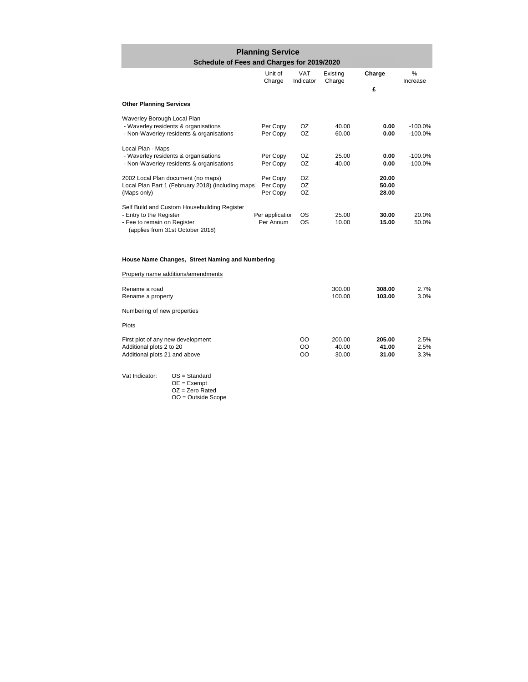| <b>Planning Service</b><br>Schedule of Fees and Charges for 2019/2020 |                   |                         |                    |                 |                           |  |  |
|-----------------------------------------------------------------------|-------------------|-------------------------|--------------------|-----------------|---------------------------|--|--|
|                                                                       | Unit of<br>Charge | <b>VAT</b><br>Indicator | Existing<br>Charge | Charge          | $\frac{0}{0}$<br>Increase |  |  |
|                                                                       |                   |                         |                    | £               |                           |  |  |
| <b>Other Planning Services</b>                                        |                   |                         |                    |                 |                           |  |  |
| Waverley Borough Local Plan                                           |                   |                         |                    |                 |                           |  |  |
| - Waverley residents & organisations                                  | Per Copy          | OZ.                     | 40.00              | 0.00            | $-100.0%$                 |  |  |
| - Non-Waverley residents & organisations                              | Per Copy          | OZ.                     | 60.00              | 0.00            | $-100.0%$                 |  |  |
| Local Plan - Maps                                                     |                   |                         |                    |                 |                           |  |  |
| - Waverley residents & organisations                                  | Per Copy          | OZ.                     | 25.00              | 0.00            | $-100.0%$                 |  |  |
| - Non-Waverley residents & organisations                              | Per Copy          | OZ.                     | 40.00              | 0.00            | $-100.0%$                 |  |  |
| 2002 Local Plan document (no maps)                                    | Per Copy          | OZ.                     |                    | 20.00           |                           |  |  |
| Local Plan Part 1 (February 2018) (including maps)                    | Per Copy          | OZ.                     |                    | 50.00           |                           |  |  |
| (Maps only)                                                           | Per Copy          | OZ                      |                    | 28.00           |                           |  |  |
| Self Build and Custom Housebuilding Register                          |                   |                         |                    |                 |                           |  |  |
| - Entry to the Register                                               | Per application   | OS.                     | 25.00              | 30.00           | 20.0%                     |  |  |
| - Fee to remain on Register                                           | Per Annum         | OS                      | 10.00              | 15.00           | 50.0%                     |  |  |
| (applies from 31st October 2018)                                      |                   |                         |                    |                 |                           |  |  |
|                                                                       |                   |                         |                    |                 |                           |  |  |
|                                                                       |                   |                         |                    |                 |                           |  |  |
| House Name Changes, Street Naming and Numbering                       |                   |                         |                    |                 |                           |  |  |
| Property name additions/amendments                                    |                   |                         |                    |                 |                           |  |  |
| Rename a road                                                         |                   |                         | 300.00             | 308.00          | 2.7%                      |  |  |
| Rename a property                                                     |                   |                         | 100.00             | 103.00          | 3.0%                      |  |  |
| Numbering of new properties                                           |                   |                         |                    |                 |                           |  |  |
| Plots                                                                 |                   |                         |                    |                 |                           |  |  |
|                                                                       |                   |                         |                    |                 |                           |  |  |
| First plot of any new development<br>Additional plots 2 to 20         |                   | OO<br>OO                | 200.00<br>40.00    | 205.00<br>41.00 | 2.5%<br>2.5%              |  |  |
| Additional plots 21 and above                                         |                   | OO                      | 30.00              | 31.00           | 3.3%                      |  |  |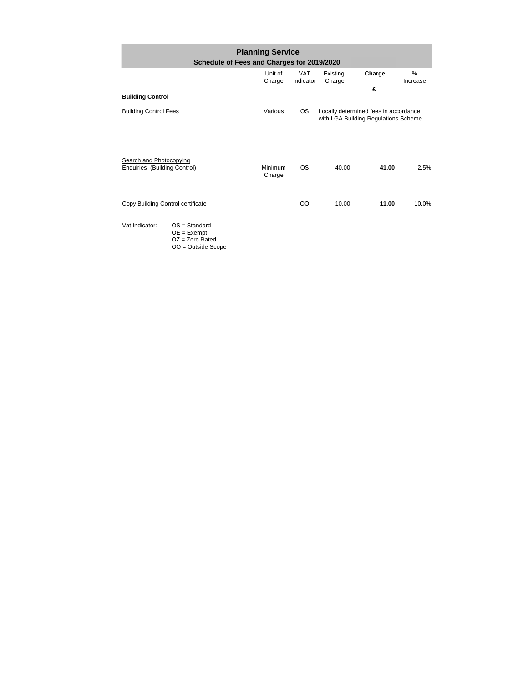| <b>Planning Service</b><br>Schedule of Fees and Charges for 2019/2020 |                                                                               |                   |                         |                                                                               |        |                  |  |
|-----------------------------------------------------------------------|-------------------------------------------------------------------------------|-------------------|-------------------------|-------------------------------------------------------------------------------|--------|------------------|--|
|                                                                       |                                                                               | Unit of<br>Charge | <b>VAT</b><br>Indicator | Existing<br>Charge                                                            | Charge | $\%$<br>Increase |  |
|                                                                       |                                                                               |                   |                         |                                                                               | £      |                  |  |
| <b>Building Control</b>                                               |                                                                               |                   |                         |                                                                               |        |                  |  |
| <b>Building Control Fees</b>                                          |                                                                               | Various           | <b>OS</b>               | Locally determined fees in accordance<br>with LGA Building Regulations Scheme |        |                  |  |
| Search and Photocopying<br>Enquiries (Building Control)               |                                                                               | Minimum<br>Charge | <b>OS</b>               | 40.00                                                                         | 41.00  | 2.5%             |  |
| Copy Building Control certificate                                     |                                                                               |                   | <sub>00</sub>           | 10.00                                                                         | 11.00  | 10.0%            |  |
| Vat Indicator:                                                        | $OS = Standard$<br>$OE = Exempt$<br>$OZ = Zero$ Rated<br>$OO = Outside Score$ |                   |                         |                                                                               |        |                  |  |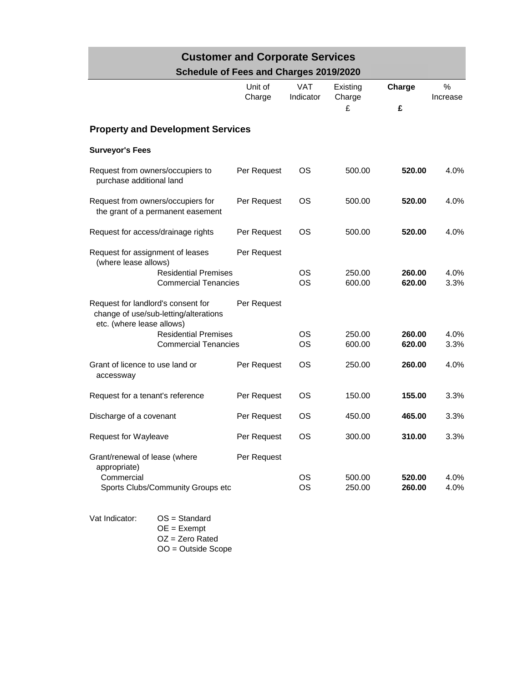| <b>Customer and Corporate Services</b>                                                                   |                                        |                         |                         |                  |               |  |  |  |
|----------------------------------------------------------------------------------------------------------|----------------------------------------|-------------------------|-------------------------|------------------|---------------|--|--|--|
|                                                                                                          | Schedule of Fees and Charges 2019/2020 |                         |                         |                  |               |  |  |  |
|                                                                                                          | Unit of<br>Charge                      | <b>VAT</b><br>Indicator | Existing<br>Charge<br>£ | Charge<br>£      | %<br>Increase |  |  |  |
| <b>Property and Development Services</b>                                                                 |                                        |                         |                         |                  |               |  |  |  |
| <b>Surveyor's Fees</b>                                                                                   |                                        |                         |                         |                  |               |  |  |  |
| Request from owners/occupiers to<br>purchase additional land                                             | Per Request                            | <b>OS</b>               | 500.00                  | 520.00           | 4.0%          |  |  |  |
| Request from owners/occupiers for<br>the grant of a permanent easement                                   | Per Request                            | <b>OS</b>               | 500.00                  | 520.00           | 4.0%          |  |  |  |
| Request for access/drainage rights                                                                       | Per Request                            | <b>OS</b>               | 500.00                  | 520.00           | 4.0%          |  |  |  |
| Request for assignment of leases<br>(where lease allows)                                                 | Per Request                            |                         |                         |                  |               |  |  |  |
| <b>Residential Premises</b><br><b>Commercial Tenancies</b>                                               |                                        | <b>OS</b><br><b>OS</b>  | 250.00<br>600.00        | 260.00<br>620.00 | 4.0%<br>3.3%  |  |  |  |
| Request for landlord's consent for<br>change of use/sub-letting/alterations<br>etc. (where lease allows) | Per Request                            |                         |                         |                  |               |  |  |  |
| <b>Residential Premises</b><br><b>Commercial Tenancies</b>                                               |                                        | <b>OS</b><br><b>OS</b>  | 250.00<br>600.00        | 260.00<br>620.00 | 4.0%<br>3.3%  |  |  |  |
| Grant of licence to use land or<br>accessway                                                             | Per Request                            | OS                      | 250.00                  | 260.00           | 4.0%          |  |  |  |
| Request for a tenant's reference                                                                         | Per Request                            | OS                      | 150.00                  | 155.00           | 3.3%          |  |  |  |
| Discharge of a covenant                                                                                  | Per Request                            | ΟS                      | 450.00                  | 465.00           | 3.3%          |  |  |  |
| Request for Wayleave                                                                                     | Per Request                            | <b>OS</b>               | 300.00                  | 310.00           | 3.3%          |  |  |  |
| Grant/renewal of lease (where<br>appropriate)<br>Commercial<br>Sports Clubs/Community Groups etc         | Per Request                            | <b>OS</b><br><b>OS</b>  | 500.00<br>250.00        | 520.00<br>260.00 | 4.0%<br>4.0%  |  |  |  |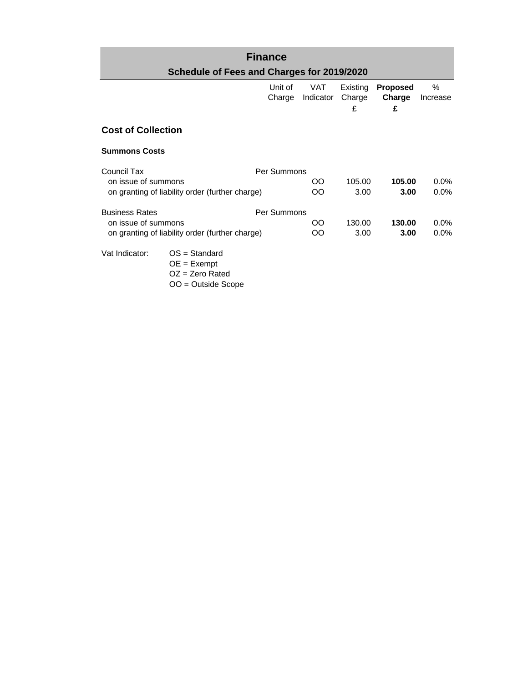## **Finance Schedule of Fees and Charges for 2019/2020**

|                           |                                                                               | Unit of<br>Charge | VAT<br>Indicator | Existing<br>Charge<br>£ | <b>Proposed</b><br>Charge<br>£ | %<br>Increase |
|---------------------------|-------------------------------------------------------------------------------|-------------------|------------------|-------------------------|--------------------------------|---------------|
| <b>Cost of Collection</b> |                                                                               |                   |                  |                         |                                |               |
| <b>Summons Costs</b>      |                                                                               |                   |                  |                         |                                |               |
| Council Tax               |                                                                               | Per Summons       |                  |                         |                                |               |
| on issue of summons       |                                                                               |                   | OO               | 105.00                  | 105.00                         | $0.0\%$       |
|                           | on granting of liability order (further charge)                               |                   | OO               | 3.00                    | 3.00                           | $0.0\%$       |
| <b>Business Rates</b>     |                                                                               | Per Summons       |                  |                         |                                |               |
| on issue of summons       |                                                                               |                   | OO               | 130.00                  | 130.00                         | $0.0\%$       |
|                           | on granting of liability order (further charge)                               |                   | OO               | 3.00                    | 3.00                           | $0.0\%$       |
| Vat Indicator:            | $OS = Standard$<br>$OE = Exempt$<br>$OZ = Zero$ Rated<br>$OO = Outside Score$ |                   |                  |                         |                                |               |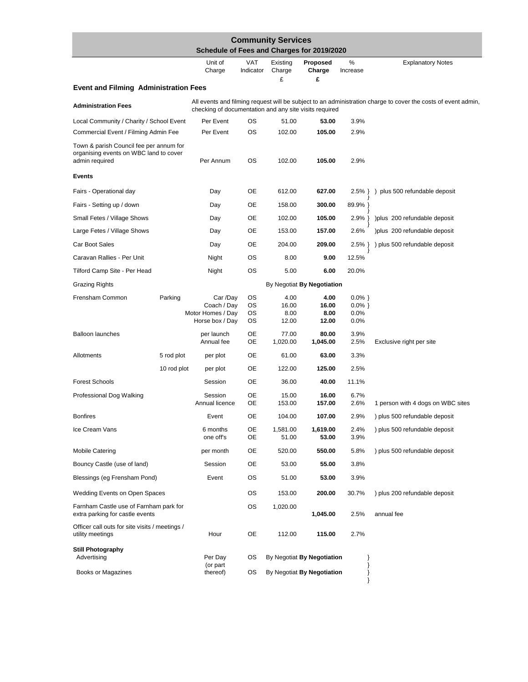|                                                                                                     | Schedule of Fees and Charges for 2019/2020                      |                      | <b>Community Services</b>      |                                |                                        |                                                                                                               |
|-----------------------------------------------------------------------------------------------------|-----------------------------------------------------------------|----------------------|--------------------------------|--------------------------------|----------------------------------------|---------------------------------------------------------------------------------------------------------------|
|                                                                                                     | Unit of<br>Charge                                               | VAT<br>Indicator     | Existing<br>Charge<br>£        | Proposed<br>Charge<br>£        | %<br>Increase                          | <b>Explanatory Notes</b>                                                                                      |
| <b>Event and Filming Administration Fees</b>                                                        |                                                                 |                      |                                |                                |                                        |                                                                                                               |
| <b>Administration Fees</b>                                                                          | checking of documentation and any site visits required          |                      |                                |                                |                                        | All events and filming request will be subject to an administration charge to cover the costs of event admin, |
| Local Community / Charity / School Event                                                            | Per Event                                                       | OS                   | 51.00                          | 53.00                          | 3.9%                                   |                                                                                                               |
| Commercial Event / Filming Admin Fee                                                                | Per Event                                                       | OS                   | 102.00                         | 105.00                         | 2.9%                                   |                                                                                                               |
| Town & parish Council fee per annum for<br>organising events on WBC land to cover<br>admin required | Per Annum                                                       | <b>OS</b>            | 102.00                         | 105.00                         | 2.9%                                   |                                                                                                               |
| <b>Events</b>                                                                                       |                                                                 |                      |                                |                                |                                        |                                                                                                               |
| Fairs - Operational day                                                                             | Day                                                             | OE                   | 612.00                         | 627.00                         | 2.5%                                   | plus 500 refundable deposit                                                                                   |
| Fairs - Setting up / down                                                                           | Day                                                             | OE                   | 158.00                         | 300.00                         | 89.9%                                  |                                                                                                               |
| Small Fetes / Village Shows                                                                         | Day                                                             | OE                   | 102.00                         | 105.00                         | $2.9\%$                                | ) plus 200 refundable deposit                                                                                 |
| Large Fetes / Village Shows                                                                         | Day                                                             | OE                   | 153.00                         | 157.00                         | 2.6%                                   | ) plus 200 refundable deposit                                                                                 |
| Car Boot Sales                                                                                      | Day                                                             | OE                   | 204.00                         | 209.00                         | $2.5\%$ }                              | ) plus 500 refundable deposit                                                                                 |
| Caravan Rallies - Per Unit                                                                          | Night                                                           | <b>OS</b>            | 8.00                           | 9.00                           | 12.5%                                  |                                                                                                               |
| Tilford Camp Site - Per Head                                                                        | Night                                                           | ОS                   | 5.00                           | 6.00                           | 20.0%                                  |                                                                                                               |
| <b>Grazing Rights</b>                                                                               |                                                                 |                      |                                | By Negotiat By Negotiation     |                                        |                                                                                                               |
| Frensham Common<br>Parking                                                                          | Car /Day<br>Coach / Day<br>Motor Homes / Day<br>Horse box / Day | os<br>os<br>OS<br>OS | 4.00<br>16.00<br>8.00<br>12.00 | 4.00<br>16.00<br>8.00<br>12.00 | $0.0\%$ }<br>$0.0\%$ }<br>0.0%<br>0.0% |                                                                                                               |
| <b>Balloon launches</b>                                                                             | per launch<br>Annual fee                                        | OE<br>OE             | 77.00<br>1,020.00              | 80.00<br>1,045.00              | 3.9%<br>2.5%                           | Exclusive right per site                                                                                      |
| Allotments<br>5 rod plot                                                                            | per plot                                                        | OE                   | 61.00                          | 63.00                          | 3.3%                                   |                                                                                                               |
| 10 rod plot                                                                                         | per plot                                                        | OE                   | 122.00                         | 125.00                         | 2.5%                                   |                                                                                                               |
| <b>Forest Schools</b>                                                                               | Session                                                         | OE                   | 36.00                          | 40.00                          | 11.1%                                  |                                                                                                               |
| Professional Dog Walking                                                                            | Session<br>Annual licence                                       | OE<br>OE             | 15.00<br>153.00                | 16.00<br>157.00                | 6.7%<br>2.6%                           | 1 person with 4 dogs on WBC sites                                                                             |
| <b>Bonfires</b>                                                                                     | Event                                                           | <b>OE</b>            | 104.00                         | 107.00                         | 2.9%                                   | ) plus 500 refundable deposit                                                                                 |
| Ice Cream Vans                                                                                      | 6 months<br>one off's                                           | OE<br><b>OE</b>      | 1,581.00<br>51.00              | 1,619.00<br>53.00              | 2.4%<br>3.9%                           | ) plus 500 refundable deposit                                                                                 |
| <b>Mobile Catering</b>                                                                              | per month                                                       | OE                   | 520.00                         | 550.00                         | 5.8%                                   | ) plus 500 refundable deposit                                                                                 |
| Bouncy Castle (use of land)                                                                         | Session                                                         | OE                   | 53.00                          | 55.00                          | 3.8%                                   |                                                                                                               |
| Blessings (eg Frensham Pond)                                                                        | Event                                                           | os                   | 51.00                          | 53.00                          | 3.9%                                   |                                                                                                               |
| <b>Wedding Events on Open Spaces</b>                                                                |                                                                 | os                   | 153.00                         | 200.00                         | 30.7%                                  | ) plus 200 refundable deposit                                                                                 |
| Farnham Castle use of Farnham park for<br>extra parking for castle events                           |                                                                 | OS                   | 1,020.00                       | 1,045.00                       | 2.5%                                   | annual fee                                                                                                    |
| Officer call outs for site visits / meetings /<br>utility meetings                                  | Hour                                                            | OE                   | 112.00                         | 115.00                         | 2.7%                                   |                                                                                                               |
| <b>Still Photography</b><br>Advertising                                                             | Per Day                                                         | os                   |                                | By Negotiat By Negotiation     | }                                      |                                                                                                               |
| Books or Magazines                                                                                  | (or part<br>thereof)                                            | os                   |                                | By Negotiat By Negotiation     | }<br>}<br>$\}$                         |                                                                                                               |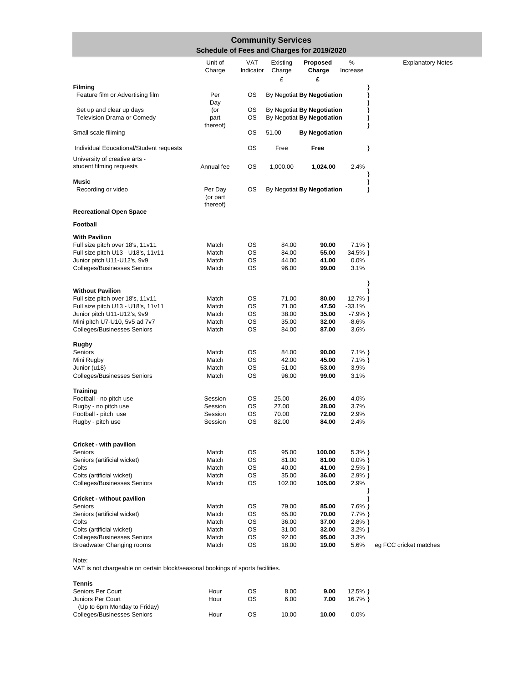| <b>Community Services</b><br>Schedule of Fees and Charges for 2019/2020 |                                 |            |                 |                                                          |                   |                          |  |  |  |
|-------------------------------------------------------------------------|---------------------------------|------------|-----------------|----------------------------------------------------------|-------------------|--------------------------|--|--|--|
|                                                                         | Unit of                         | <b>VAT</b> | Existing        | Proposed                                                 | $\%$              | <b>Explanatory Notes</b> |  |  |  |
|                                                                         | Charge                          | Indicator  | Charge          | Charge                                                   | Increase          |                          |  |  |  |
| <b>Filming</b>                                                          |                                 |            | £               | £                                                        | }                 |                          |  |  |  |
| Feature film or Advertising film                                        | Per<br>Day                      | OS         |                 | By Negotiat By Negotiation                               | }<br>₹            |                          |  |  |  |
| Set up and clear up days<br><b>Television Drama or Comedy</b>           | (or<br>part<br>thereof)         | os<br>OS   |                 | By Negotiat By Negotiation<br>By Negotiat By Negotiation | }<br>}<br>ł       |                          |  |  |  |
| Small scale filiming                                                    |                                 | OS         | 51.00           | <b>By Negotiation</b>                                    |                   |                          |  |  |  |
| Individual Educational/Student requests                                 |                                 | OS         | Free            | Free                                                     | }                 |                          |  |  |  |
| University of creative arts -<br>student filming requests               | Annual fee                      | OS         | 1,000.00        | 1,024.00                                                 | 2.4%              |                          |  |  |  |
| <b>Music</b>                                                            |                                 |            |                 |                                                          |                   |                          |  |  |  |
| Recording or video                                                      | Per Day<br>(or part<br>thereof) | OS         |                 | By Negotiat By Negotiation                               | ∤                 |                          |  |  |  |
| <b>Recreational Open Space</b>                                          |                                 |            |                 |                                                          |                   |                          |  |  |  |
| Football                                                                |                                 |            |                 |                                                          |                   |                          |  |  |  |
| <b>With Pavilion</b>                                                    |                                 |            |                 |                                                          |                   |                          |  |  |  |
| Full size pitch over 18's, 11v11                                        | Match                           | OS         | 84.00           | 90.00                                                    | $7.1\%$           |                          |  |  |  |
| Full size pitch U13 - U18's, 11v11                                      | Match                           | OS<br>OS   | 84.00           | 55.00                                                    | $-34.5%$<br>0.0%  |                          |  |  |  |
| Junior pitch U11-U12's, 9v9<br><b>Colleges/Businesses Seniors</b>       | Match<br>Match                  | OS         | 44.00<br>96.00  | 41.00<br>99.00                                           | 3.1%              |                          |  |  |  |
| <b>Without Pavilion</b>                                                 |                                 |            |                 |                                                          | ł                 |                          |  |  |  |
| Full size pitch over 18's, 11v11                                        | Match                           | OS         | 71.00           | 80.00                                                    | $12.7\%$          |                          |  |  |  |
| Full size pitch U13 - U18's, 11v11                                      | Match                           | OS         | 71.00           | 47.50                                                    | $-33.1%$          |                          |  |  |  |
| Junior pitch U11-U12's, 9v9                                             | Match                           | ОS         | 38.00           | 35.00                                                    | $-7.9%$           |                          |  |  |  |
| Mini pitch U7-U10, 5v5 ad 7v7<br>Colleges/Businesses Seniors            | Match<br>Match                  | ОS<br>OS   | 35.00<br>84.00  | 32.00<br>87.00                                           | $-8.6%$<br>3.6%   |                          |  |  |  |
| Rugby                                                                   |                                 |            |                 |                                                          |                   |                          |  |  |  |
| Seniors                                                                 | Match                           | OS         | 84.00           | 90.00                                                    | $7.1\%$           |                          |  |  |  |
| Mini Rugby                                                              | Match                           | OS         | 42.00           | 45.00                                                    | $7.1\%$           |                          |  |  |  |
| Junior (u18)<br><b>Colleges/Businesses Seniors</b>                      | Match<br>Match                  | OS<br>OS   | 51.00<br>96.00  | 53.00<br>99.00                                           | 3.9%<br>3.1%      |                          |  |  |  |
| <b>Training</b>                                                         |                                 |            |                 |                                                          |                   |                          |  |  |  |
| Football - no pitch use                                                 | Session                         | ОS         | 25.00           | 26.00                                                    | 4.0%              |                          |  |  |  |
| Rugby - no pitch use                                                    | Session                         | OS         | 27.00           | 28.00                                                    | 3.7%              |                          |  |  |  |
| Football - pitch use<br>Rugby - pitch use                               | Session<br>Session              | OS<br>ОS   | 70.00<br>82.00  | 72.00<br>84.00                                           | 2.9%<br>$2.4\%$   |                          |  |  |  |
| Cricket - with pavilion                                                 |                                 |            |                 |                                                          |                   |                          |  |  |  |
| Seniors                                                                 | Match                           | ОS         | 95.00           | 100.00                                                   | $5.3%$ }          |                          |  |  |  |
| Seniors (artificial wicket)                                             | Match                           | OS         | 81.00           | 81.00                                                    | $0.0\%$ }         |                          |  |  |  |
| Colts                                                                   | Match                           | OS         | 40.00           | 41.00                                                    | $2.5\%$ }         |                          |  |  |  |
| Colts (artificial wicket)<br><b>Colleges/Businesses Seniors</b>         | Match<br>Match                  | OS<br>OS   | 35.00<br>102.00 | 36.00<br>105.00                                          | $2.9%$ }<br>2.9%  |                          |  |  |  |
| <b>Cricket - without pavilion</b>                                       |                                 |            |                 |                                                          | ₹                 |                          |  |  |  |
| Seniors                                                                 | Match                           | OS         | 79.00           | 85.00                                                    | $7.6\%$ }         |                          |  |  |  |
| Seniors (artificial wicket)                                             | Match                           | OS         | 65.00           | 70.00                                                    | 7.7% }            |                          |  |  |  |
| Colts<br>Colts (artificial wicket)                                      | Match<br>Match                  | OS<br>OS   | 36.00<br>31.00  | 37.00<br>32.00                                           | $2.8\%$ }         |                          |  |  |  |
| <b>Colleges/Businesses Seniors</b>                                      | Match                           | OS         | 92.00           | 95.00                                                    | $3.2\%$ }<br>3.3% |                          |  |  |  |
| <b>Broadwater Changing rooms</b>                                        | Match                           | OS         | 18.00           | 19.00                                                    | 5.6%              | eg FCC cricket matches   |  |  |  |

Note:

VAT is not chargeable on certain block/seasonal bookings of sports facilities.

| Tennis                                            |      |    |       |       |          |
|---------------------------------------------------|------|----|-------|-------|----------|
| Seniors Per Court                                 | Hour | OS | 8.00  | 9.00  | $12.5\%$ |
| Juniors Per Court<br>(Up to 6pm Monday to Friday) | Hour | ΟS | 6.00  | 7.00  | $16.7\%$ |
| <b>Colleges/Businesses Seniors</b>                | Hour | ΟS | 10.00 | 10.00 | $0.0\%$  |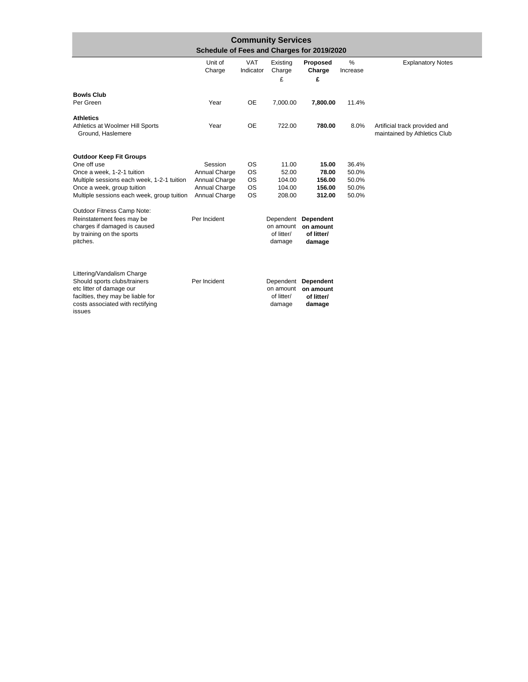| <b>Community Services</b><br>Schedule of Fees and Charges for 2019/2020                                                                     |                                |                         |                                   |                                                          |                  |                                                               |  |  |
|---------------------------------------------------------------------------------------------------------------------------------------------|--------------------------------|-------------------------|-----------------------------------|----------------------------------------------------------|------------------|---------------------------------------------------------------|--|--|
|                                                                                                                                             | Unit of<br>Charge              | <b>VAT</b><br>Indicator | Existing<br>Charge<br>£           | Proposed<br>Charge<br>£                                  | $\%$<br>Increase | <b>Explanatory Notes</b>                                      |  |  |
| <b>Bowls Club</b>                                                                                                                           |                                |                         |                                   |                                                          |                  |                                                               |  |  |
| Per Green                                                                                                                                   | Year                           | <b>OE</b>               | 7,000.00                          | 7,800.00                                                 | 11.4%            |                                                               |  |  |
| <b>Athletics</b>                                                                                                                            |                                |                         |                                   |                                                          |                  |                                                               |  |  |
| Athletics at Woolmer Hill Sports<br>Ground, Haslemere                                                                                       | Year                           | <b>OE</b>               | 722.00                            | 780.00                                                   | 8.0%             | Artificial track provided and<br>maintained by Athletics Club |  |  |
| <b>Outdoor Keep Fit Groups</b>                                                                                                              |                                |                         |                                   |                                                          |                  |                                                               |  |  |
| One off use                                                                                                                                 | Session                        | <b>OS</b>               | 11.00                             | 15.00                                                    | 36.4%            |                                                               |  |  |
| Once a week, 1-2-1 tuition<br>Multiple sessions each week, 1-2-1 tuition                                                                    | Annual Charge<br>Annual Charge | <b>OS</b><br><b>OS</b>  | 52.00<br>104.00                   | 78.00<br>156.00                                          | 50.0%<br>50.0%   |                                                               |  |  |
| Once a week, group tuition                                                                                                                  | Annual Charge                  | <b>OS</b>               | 104.00                            | 156.00                                                   | 50.0%            |                                                               |  |  |
| Multiple sessions each week, group tuition                                                                                                  | Annual Charge                  | <b>OS</b>               | 208.00                            | 312.00                                                   | 50.0%            |                                                               |  |  |
| Outdoor Fitness Camp Note:                                                                                                                  |                                |                         |                                   |                                                          |                  |                                                               |  |  |
| Reinstatement fees may be<br>charges if damaged is caused<br>by training on the sports<br>pitches.                                          | Per Incident                   |                         | on amount<br>of litter/<br>damage | Dependent Dependent<br>on amount<br>of litter/<br>damage |                  |                                                               |  |  |
| Littering/Vandalism Charge                                                                                                                  |                                |                         |                                   |                                                          |                  |                                                               |  |  |
| Should sports clubs/trainers<br>etc litter of damage our<br>facilties, they may be liable for<br>costs associated with rectifying<br>issues | Per Incident                   |                         | on amount<br>of litter/<br>damage | Dependent Dependent<br>on amount<br>of litter/<br>damage |                  |                                                               |  |  |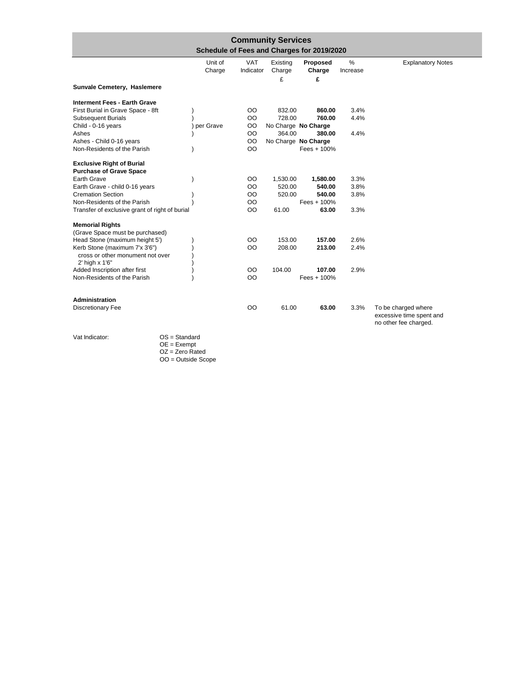| <b>Community Services</b><br>Schedule of Fees and Charges for 2019/2020 |                   |                         |                         |                         |               |                                                                          |  |  |
|-------------------------------------------------------------------------|-------------------|-------------------------|-------------------------|-------------------------|---------------|--------------------------------------------------------------------------|--|--|
|                                                                         | Unit of<br>Charge | <b>VAT</b><br>Indicator | Existing<br>Charge<br>£ | Proposed<br>Charge<br>£ | %<br>Increase | <b>Explanatory Notes</b>                                                 |  |  |
| Sunvale Cemetery, Haslemere                                             |                   |                         |                         |                         |               |                                                                          |  |  |
| <b>Interment Fees - Earth Grave</b>                                     |                   |                         |                         |                         |               |                                                                          |  |  |
| First Burial in Grave Space - 8ft                                       |                   | OO                      | 832.00                  | 860.00                  | 3.4%          |                                                                          |  |  |
| <b>Subsequent Burials</b>                                               |                   | OO                      | 728.00                  | 760.00                  | 4.4%          |                                                                          |  |  |
| Child - 0-16 years                                                      | per Grave         | OO                      |                         | No Charge No Charge     |               |                                                                          |  |  |
| Ashes                                                                   |                   | OO                      | 364.00                  | 380.00                  | 4.4%          |                                                                          |  |  |
| Ashes - Child 0-16 years                                                |                   | OO                      |                         | No Charge No Charge     |               |                                                                          |  |  |
| Non-Residents of the Parish                                             |                   | OO                      |                         | Fees $+100%$            |               |                                                                          |  |  |
| <b>Exclusive Right of Burial</b>                                        |                   |                         |                         |                         |               |                                                                          |  |  |
| <b>Purchase of Grave Space</b>                                          |                   |                         |                         |                         |               |                                                                          |  |  |
| Earth Grave                                                             |                   | OO                      | 1,530.00                | 1,580.00                | 3.3%          |                                                                          |  |  |
| Earth Grave - child 0-16 years                                          |                   | OO                      | 520.00                  | 540.00                  | 3.8%          |                                                                          |  |  |
| <b>Cremation Section</b>                                                |                   | OO                      | 520.00                  | 540.00                  | 3.8%          |                                                                          |  |  |
| Non-Residents of the Parish                                             |                   | OO                      |                         | Fees $+100%$            |               |                                                                          |  |  |
| Transfer of exclusive grant of right of burial                          |                   | OO                      | 61.00                   | 63.00                   | 3.3%          |                                                                          |  |  |
| <b>Memorial Rights</b>                                                  |                   |                         |                         |                         |               |                                                                          |  |  |
| (Grave Space must be purchased)                                         |                   |                         |                         |                         |               |                                                                          |  |  |
| Head Stone (maximum height 5')                                          |                   | OO                      | 153.00                  | 157.00                  | 2.6%          |                                                                          |  |  |
| Kerb Stone (maximum 7'x 3'6")                                           |                   | OO                      | 208.00                  | 213.00                  | 2.4%          |                                                                          |  |  |
| cross or other monument not over                                        |                   |                         |                         |                         |               |                                                                          |  |  |
| 2' high x 1'6"                                                          |                   |                         |                         |                         |               |                                                                          |  |  |
| Added Inscription after first                                           |                   | OO                      | 104.00                  | 107.00                  | 2.9%          |                                                                          |  |  |
| Non-Residents of the Parish                                             |                   | OO                      |                         | Fees + 100%             |               |                                                                          |  |  |
|                                                                         |                   |                         |                         |                         |               |                                                                          |  |  |
| Administration                                                          |                   |                         |                         |                         |               |                                                                          |  |  |
| <b>Discretionary Fee</b>                                                |                   | OO                      | 61.00                   | 63.00                   | 3.3%          | To be charged where<br>excessive time spent and<br>no other fee charged. |  |  |

Vat Indicator: OS = Standard OE = Exempt OZ = Zero Rated

OO = Outside Scope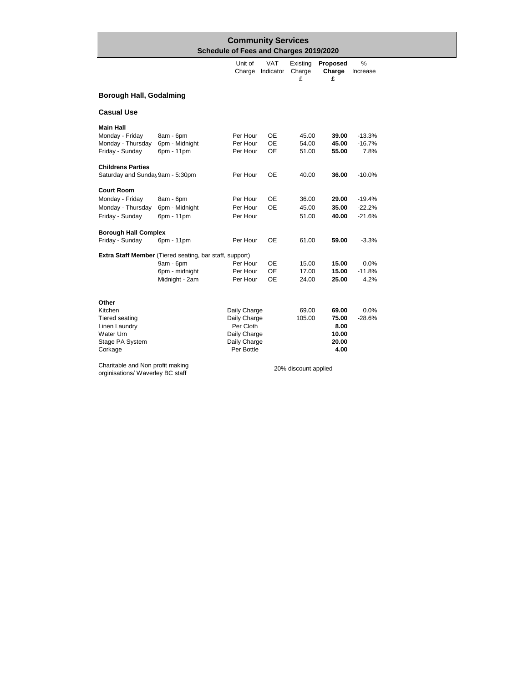|                                                                                                       | <b>Community Services</b>                     |                                                                                         |                              |                         |                                                  |                                  |  |  |  |  |
|-------------------------------------------------------------------------------------------------------|-----------------------------------------------|-----------------------------------------------------------------------------------------|------------------------------|-------------------------|--------------------------------------------------|----------------------------------|--|--|--|--|
|                                                                                                       |                                               | Schedule of Fees and Charges 2019/2020                                                  |                              |                         |                                                  |                                  |  |  |  |  |
|                                                                                                       |                                               | Unit of<br>Charge                                                                       | <b>VAT</b><br>Indicator      | Existing<br>Charge<br>£ | Proposed<br>Charge<br>£                          | %<br>Increase                    |  |  |  |  |
| <b>Borough Hall, Godalming</b>                                                                        |                                               |                                                                                         |                              |                         |                                                  |                                  |  |  |  |  |
| <b>Casual Use</b>                                                                                     |                                               |                                                                                         |                              |                         |                                                  |                                  |  |  |  |  |
| <b>Main Hall</b><br>Monday - Friday<br>Monday - Thursday<br>Friday - Sunday                           | 8am - 6pm<br>6pm - Midnight<br>6pm - 11pm     | Per Hour<br>Per Hour<br>Per Hour                                                        | 0E<br><b>OE</b><br><b>OE</b> | 45.00<br>54.00<br>51.00 | 39.00<br>45.00<br>55.00                          | $-13.3%$<br>$-16.7%$<br>7.8%     |  |  |  |  |
| <b>Childrens Parties</b><br>Saturday and Sunday 9am - 5:30pm                                          |                                               | Per Hour                                                                                | <b>OE</b>                    | 40.00                   | 36.00                                            | $-10.0%$                         |  |  |  |  |
| <b>Court Room</b><br>Monday - Friday<br>Monday - Thursday<br>Friday - Sunday                          | 8am - 6pm<br>6pm - Midnight<br>6pm - 11pm     | Per Hour<br>Per Hour<br>Per Hour                                                        | OE<br><b>OE</b>              | 36.00<br>45.00<br>51.00 | 29.00<br>35.00<br>40.00                          | $-19.4%$<br>$-22.2%$<br>$-21.6%$ |  |  |  |  |
| <b>Borough Hall Complex</b><br>Friday - Sunday                                                        | 6pm - 11pm                                    | Per Hour                                                                                | OE                           | 61.00                   | 59.00                                            | $-3.3%$                          |  |  |  |  |
| Extra Staff Member (Tiered seating, bar staff, support)                                               | 9am - 6pm<br>6pm - midnight<br>Midnight - 2am | Per Hour<br>Per Hour<br>Per Hour                                                        | 0E<br>OE<br>OE               | 15.00<br>17.00<br>24.00 | 15.00<br>15.00<br>25.00                          | 0.0%<br>$-11.8%$<br>4.2%         |  |  |  |  |
| Other<br>Kitchen<br><b>Tiered seating</b><br>Linen Laundry<br>Water Urn<br>Stage PA System<br>Corkage |                                               | Daily Charge<br>Daily Charge<br>Per Cloth<br>Daily Charge<br>Daily Charge<br>Per Bottle |                              | 69.00<br>105.00         | 69.00<br>75.00<br>8.00<br>10.00<br>20.00<br>4.00 | 0.0%<br>$-28.6%$                 |  |  |  |  |
| Charitable and Nan neefit making                                                                      |                                               |                                                                                         |                              |                         |                                                  |                                  |  |  |  |  |

Charitable and Non profit making orginisations/ Waverley BC staff

20% discount applied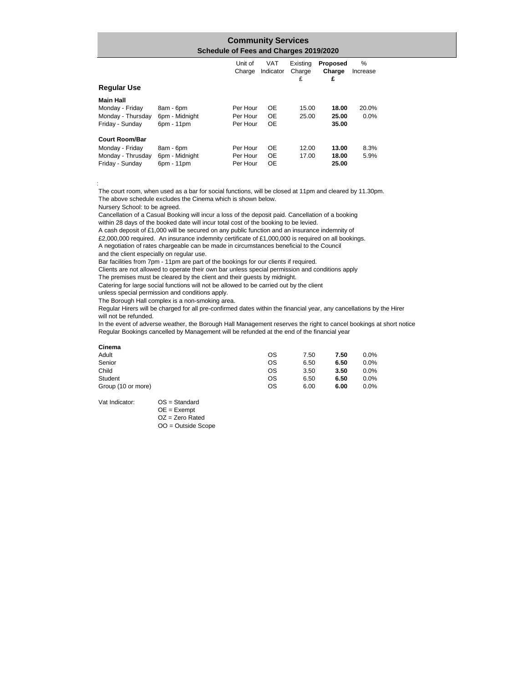### Unit of VAT Existing **Proposed** % Charge Indicator Charge **Charge** Increase £ **£ Community Services Schedule of Fees and Charges 2019/2020 Regular Use Main Hall** Monday - Friday 8am - 6pm Per Hour OE 15.00 **18.00** 20.0% Monday - Thursday 6pm - Midnight Per Hour OE 25.00 **25.00** 0.0% Friday - Sunday 6pm - 11pm Per Hour OE **35.00 Court Room/Bar**  Monday - Friday 8am - 6pm Per Hour OE 12.00 **13.00** 8.3% Monday - Thrusday 6pm - Midnight Per Hour OE 17.00 18.00 5.9% Friday - Sunday 6pm - 11pm Per Hour OE 25.00

The court room, when used as a bar for social functions, will be closed at 11pm and cleared by 11.30pm. The above schedule excludes the Cinema which is shown below.

Nursery School: to be agreed.

Cancellation of a Casual Booking will incur a loss of the deposit paid. Cancellation of a booking within 28 days of the booked date will incur total cost of the booking to be levied.

A cash deposit of £1,000 will be secured on any public function and an insurance indemnity of

£2,000,000 required. An insurance indemnity certificate of £1,000,000 is required on all bookings.

A negotiation of rates chargeable can be made in circumstances beneficial to the Council and the client especially on regular use.

Bar facilities from 7pm - 11pm are part of the bookings for our clients if required.

Clients are not allowed to operate their own bar unless special permission and conditions apply

The premises must be cleared by the client and their guests by midnight.

Catering for large social functions will not be allowed to be carried out by the client

unless special permission and conditions apply.

The Borough Hall complex is a non-smoking area.

Regular Hirers will be charged for all pre-confirmed dates within the financial year, any cancellations by the Hirer will not be refunded.

In the event of adverse weather, the Borough Hall Management reserves the right to cancel bookings at short notice Regular Bookings cancelled by Management will be refunded at the end of the financial year

#### **Cinema**

Notes:

| Adult              | os | 7.50 | 7.50 | 0.0% |
|--------------------|----|------|------|------|
| Senior             | ОS | 6.50 | 6.50 | 0.0% |
| Child              | OS | 3.50 | 3.50 | 0.0% |
| Student            | ОS | 6.50 | 6.50 | 0.0% |
| Group (10 or more) | ОS | 6.00 | 6.00 | 0.0% |

Vat Indicator: OS = Standard

OE = Exempt OZ = Zero Rated OO = Outside Scope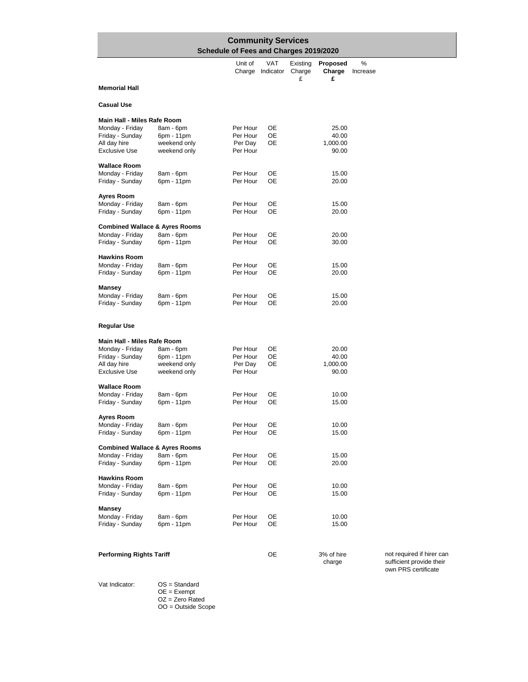|                                           | <b>Community Services</b>    |                                        |                                |                         |                         |                         |  |  |  |  |
|-------------------------------------------|------------------------------|----------------------------------------|--------------------------------|-------------------------|-------------------------|-------------------------|--|--|--|--|
|                                           |                              | Schedule of Fees and Charges 2019/2020 |                                |                         |                         |                         |  |  |  |  |
|                                           |                              | Unit of                                | <b>VAT</b><br>Charge Indicator | Existing<br>Charge<br>£ | Proposed<br>Charge<br>£ | %<br>Increase           |  |  |  |  |
| <b>Memorial Hall</b>                      |                              |                                        |                                |                         |                         |                         |  |  |  |  |
| <b>Casual Use</b>                         |                              |                                        |                                |                         |                         |                         |  |  |  |  |
| Main Hall - Miles Rafe Room               |                              |                                        |                                |                         |                         |                         |  |  |  |  |
| Monday - Friday                           | 8am - 6pm                    | Per Hour                               | OE                             |                         | 25.00                   |                         |  |  |  |  |
| Friday - Sunday                           | 6pm - 11pm                   | Per Hour                               | OE                             |                         | 40.00                   |                         |  |  |  |  |
| All day hire<br><b>Exclusive Use</b>      | weekend only<br>weekend only | Per Day<br>Per Hour                    | OЕ                             |                         | 1,000.00<br>90.00       |                         |  |  |  |  |
| <b>Wallace Room</b>                       |                              |                                        |                                |                         |                         |                         |  |  |  |  |
| Monday - Friday                           | 8am - 6pm                    | Per Hour                               | OE                             |                         | 15.00                   |                         |  |  |  |  |
| Friday - Sunday                           | 6pm - 11pm                   | Per Hour                               | OE                             |                         | 20.00                   |                         |  |  |  |  |
| Ayres Room                                |                              |                                        |                                |                         |                         |                         |  |  |  |  |
| Monday - Friday<br>Friday - Sunday        | 8am - 6pm<br>6pm - 11pm      | Per Hour<br>Per Hour                   | ОE<br>ОE                       |                         | 15.00<br>20.00          |                         |  |  |  |  |
|                                           |                              |                                        |                                |                         |                         |                         |  |  |  |  |
| <b>Combined Wallace &amp; Ayres Rooms</b> |                              |                                        |                                |                         |                         |                         |  |  |  |  |
| Monday - Friday<br>Friday - Sunday        | 8am - 6pm<br>6pm - 11pm      | Per Hour<br>Per Hour                   | ОE<br>OE                       |                         | 20.00<br>30.00          |                         |  |  |  |  |
| <b>Hawkins Room</b>                       |                              |                                        |                                |                         |                         |                         |  |  |  |  |
| Monday - Friday                           | 8am - 6pm                    | Per Hour                               | OE                             |                         | 15.00                   |                         |  |  |  |  |
| Friday - Sunday                           | 6pm - 11pm                   | Per Hour                               | OE                             |                         | 20.00                   |                         |  |  |  |  |
| <b>Mansey</b>                             |                              |                                        |                                |                         |                         |                         |  |  |  |  |
| Monday - Friday                           | 8am - 6pm                    | Per Hour                               | OЕ                             |                         | 15.00                   |                         |  |  |  |  |
| Friday - Sunday                           | 6pm - 11pm                   | Per Hour                               | OЕ                             |                         | 20.00                   |                         |  |  |  |  |
| Regular Use                               |                              |                                        |                                |                         |                         |                         |  |  |  |  |
| Main Hall - Miles Rafe Room               |                              |                                        |                                |                         |                         |                         |  |  |  |  |
| Monday - Friday                           | 8am - 6pm                    | Per Hour                               | OE                             |                         | 20.00                   |                         |  |  |  |  |
| Friday - Sunday                           | 6pm - 11pm                   | Per Hour                               | ОE                             |                         | 40.00                   |                         |  |  |  |  |
| All day hire<br><b>Exclusive Use</b>      | weekend only                 | Per Day<br>Per Hour                    | ОE                             |                         | 1,000.00                |                         |  |  |  |  |
|                                           | weekend only                 |                                        |                                |                         | 90.00                   |                         |  |  |  |  |
| <b>Wallace Room</b>                       |                              |                                        |                                |                         |                         |                         |  |  |  |  |
| Monday - Friday<br>Friday - Sunday        | 8am - 6pm<br>6pm - 11pm      | Per Hour<br>Per Hour                   | OЕ<br>OE                       |                         | 10.00<br>15.00          |                         |  |  |  |  |
|                                           |                              |                                        |                                |                         |                         |                         |  |  |  |  |
| Ayres Room<br>Monday - Friday             | 8am - 6pm                    | Per Hour                               | ОE                             |                         | 10.00                   |                         |  |  |  |  |
| Friday - Sunday                           | 6pm - 11pm                   | Per Hour                               | OE                             |                         | 15.00                   |                         |  |  |  |  |
| <b>Combined Wallace &amp; Ayres Rooms</b> |                              |                                        |                                |                         |                         |                         |  |  |  |  |
| Monday - Friday                           | 8am - 6pm                    | Per Hour                               | OE                             |                         | 15.00                   |                         |  |  |  |  |
| Friday - Sunday                           | 6pm - 11pm                   | Per Hour                               | OE                             |                         | 20.00                   |                         |  |  |  |  |
| <b>Hawkins Room</b>                       |                              |                                        |                                |                         |                         |                         |  |  |  |  |
| Monday - Friday                           | 8am - 6pm                    | Per Hour                               | OЕ                             |                         | 10.00                   |                         |  |  |  |  |
| Friday - Sunday                           | 6pm - 11pm                   | Per Hour                               | ОE                             |                         | 15.00                   |                         |  |  |  |  |
| Mansey                                    |                              |                                        |                                |                         |                         |                         |  |  |  |  |
| Monday - Friday                           | 8am - 6pm                    | Per Hour                               | ОE                             |                         | 10.00                   |                         |  |  |  |  |
| Friday - Sunday                           | 6pm - 11pm                   | Per Hour                               | OE                             |                         | 15.00                   |                         |  |  |  |  |
|                                           |                              |                                        |                                |                         |                         |                         |  |  |  |  |
| <b>Performing Rights Tariff</b>           |                              |                                        | OE                             |                         | 3% of hire<br>charge    | not re<br>suffic<br>own |  |  |  |  |

equired if hirer can cient provide their PRS certificate

Vat Indicator: OS = Standard

 $OE = Exempt$ OZ = Zero Rated

OO = Outside Scope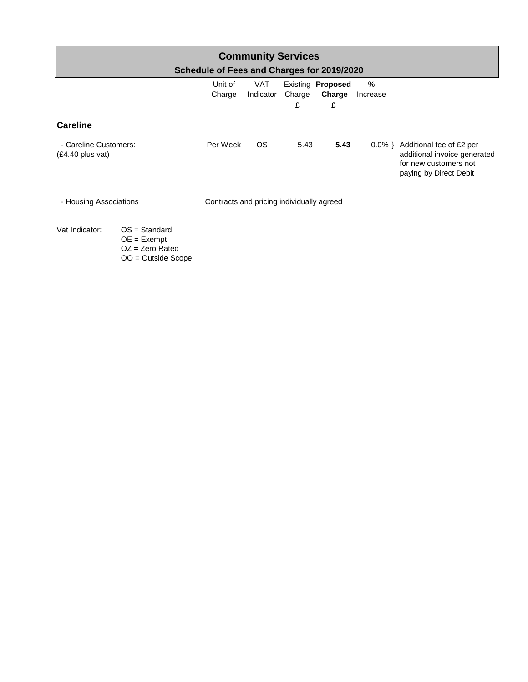| <b>Community Services</b><br>Schedule of Fees and Charges for 2019/2020 |                                                                               |                   |                         |             |                                  |                  |                                                                                                             |  |
|-------------------------------------------------------------------------|-------------------------------------------------------------------------------|-------------------|-------------------------|-------------|----------------------------------|------------------|-------------------------------------------------------------------------------------------------------------|--|
|                                                                         |                                                                               | Unit of<br>Charge | <b>VAT</b><br>Indicator | Charge<br>£ | Existing Proposed<br>Charge<br>£ | $\%$<br>Increase |                                                                                                             |  |
| <b>Careline</b>                                                         |                                                                               |                   |                         |             |                                  |                  |                                                                                                             |  |
| - Careline Customers:<br>$(E4.40$ plus vat)                             |                                                                               | Per Week          | OS.                     | 5.43        | 5.43                             | $0.0\%$ }        | Additional fee of £2 per<br>additional invoice generated<br>for new customers not<br>paying by Direct Debit |  |
| Contracts and pricing individually agreed<br>- Housing Associations     |                                                                               |                   |                         |             |                                  |                  |                                                                                                             |  |
| Vat Indicator:                                                          | $OS = Standard$<br>$OE = Exempt$<br>$OZ = Zero$ Rated<br>$OO = Outside$ Scope |                   |                         |             |                                  |                  |                                                                                                             |  |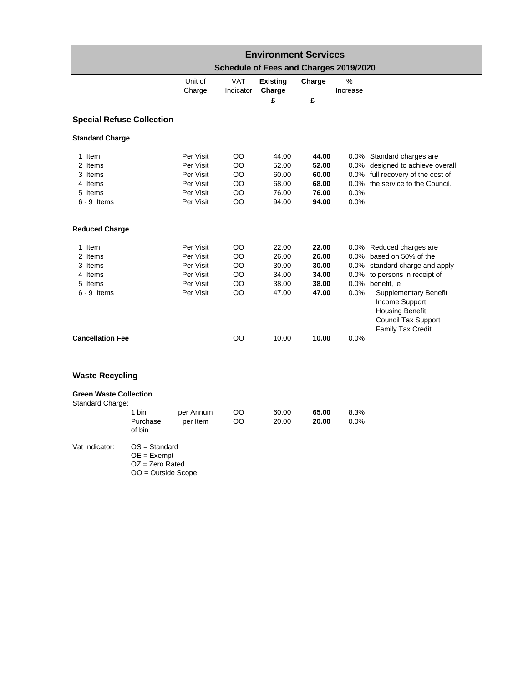|                                                                     | <b>Environment Services</b>                                                   |                                                                            |                                   |                                                    |                                                    |               |                                                                                                                                                                                                                                                                     |  |  |  |  |
|---------------------------------------------------------------------|-------------------------------------------------------------------------------|----------------------------------------------------------------------------|-----------------------------------|----------------------------------------------------|----------------------------------------------------|---------------|---------------------------------------------------------------------------------------------------------------------------------------------------------------------------------------------------------------------------------------------------------------------|--|--|--|--|
|                                                                     |                                                                               |                                                                            |                                   | Schedule of Fees and Charges 2019/2020             |                                                    |               |                                                                                                                                                                                                                                                                     |  |  |  |  |
|                                                                     |                                                                               | Unit of<br>Charge                                                          | <b>VAT</b><br>Indicator           | <b>Existing</b><br>Charge<br>£                     | Charge<br>£                                        | %<br>Increase |                                                                                                                                                                                                                                                                     |  |  |  |  |
| <b>Special Refuse Collection</b>                                    |                                                                               |                                                                            |                                   |                                                    |                                                    |               |                                                                                                                                                                                                                                                                     |  |  |  |  |
| <b>Standard Charge</b>                                              |                                                                               |                                                                            |                                   |                                                    |                                                    |               |                                                                                                                                                                                                                                                                     |  |  |  |  |
| 1 Item<br>2 Items<br>3 Items<br>4 Items<br>5 Items<br>$6 - 9$ Items |                                                                               | Per Visit<br>Per Visit<br>Per Visit<br>Per Visit<br>Per Visit<br>Per Visit | OO<br>OO<br>OO<br>OO<br>OO<br>OO  | 44.00<br>52.00<br>60.00<br>68.00<br>76.00<br>94.00 | 44.00<br>52.00<br>60.00<br>68.00<br>76.00<br>94.00 | 0.0%<br>0.0%  | 0.0% Standard charges are<br>0.0% designed to achieve overall<br>0.0% full recovery of the cost of<br>0.0% the service to the Council.                                                                                                                              |  |  |  |  |
| <b>Reduced Charge</b>                                               |                                                                               |                                                                            |                                   |                                                    |                                                    |               |                                                                                                                                                                                                                                                                     |  |  |  |  |
| 1 Item<br>2 Items<br>3 Items<br>4 Items<br>5 Items<br>$6 - 9$ Items |                                                                               | Per Visit<br>Per Visit<br>Per Visit<br>Per Visit<br>Per Visit<br>Per Visit | OO<br>OO<br>OO<br>OO<br>OO<br>OO. | 22.00<br>26.00<br>30.00<br>34.00<br>38.00<br>47.00 | 22.00<br>26.00<br>30.00<br>34.00<br>38.00<br>47.00 | 0.0%          | 0.0% Reduced charges are<br>0.0% based on 50% of the<br>0.0% standard charge and apply<br>0.0% to persons in receipt of<br>0.0% benefit, ie<br><b>Supplementary Benefit</b><br>Income Support<br><b>Housing Benefit</b><br>Council Tax Support<br>Family Tax Credit |  |  |  |  |
| <b>Cancellation Fee</b>                                             |                                                                               |                                                                            | OO                                | 10.00                                              | 10.00                                              | 0.0%          |                                                                                                                                                                                                                                                                     |  |  |  |  |
| <b>Waste Recycling</b>                                              |                                                                               |                                                                            |                                   |                                                    |                                                    |               |                                                                                                                                                                                                                                                                     |  |  |  |  |
| <b>Green Waste Collection</b><br>Standard Charge:                   | 1 bin<br>Purchase<br>of bin                                                   | per Annum<br>per Item                                                      | OO<br>OO                          | 60.00<br>20.00                                     | 65.00<br>20.00                                     | 8.3%<br>0.0%  |                                                                                                                                                                                                                                                                     |  |  |  |  |
| Vat Indicator:                                                      | $OS = Standard$<br>$OE = Exempt$<br>$OZ = Zero$ Rated<br>$OO = Outside$ Scope |                                                                            |                                   |                                                    |                                                    |               |                                                                                                                                                                                                                                                                     |  |  |  |  |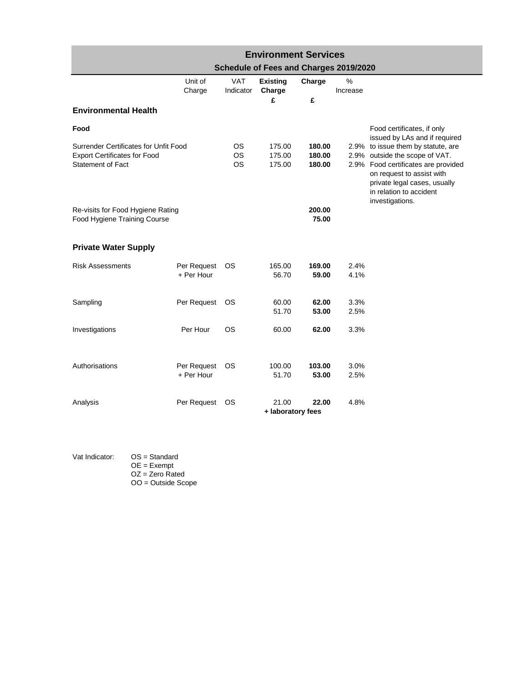| <b>Environment Services</b>                                                                              |                           |                              |                                        |                            |               |                                                                                                                                                                                                                        |  |  |  |
|----------------------------------------------------------------------------------------------------------|---------------------------|------------------------------|----------------------------------------|----------------------------|---------------|------------------------------------------------------------------------------------------------------------------------------------------------------------------------------------------------------------------------|--|--|--|
|                                                                                                          |                           |                              | Schedule of Fees and Charges 2019/2020 |                            |               |                                                                                                                                                                                                                        |  |  |  |
|                                                                                                          | Unit of<br>Charge         | <b>VAT</b><br>Indicator      | <b>Existing</b><br>Charge              | Charge                     | %<br>Increase |                                                                                                                                                                                                                        |  |  |  |
| <b>Environmental Health</b>                                                                              |                           |                              | £                                      | £                          |               |                                                                                                                                                                                                                        |  |  |  |
| Food                                                                                                     |                           |                              |                                        |                            |               | Food certificates, if only<br>issued by LAs and if required                                                                                                                                                            |  |  |  |
| Surrender Certificates for Unfit Food<br><b>Export Certificates for Food</b><br><b>Statement of Fact</b> |                           | ΟS<br><b>OS</b><br><b>OS</b> | 175.00<br>175.00<br>175.00             | 180.00<br>180.00<br>180.00 |               | 2.9% to issue them by statute, are<br>2.9% outside the scope of VAT.<br>2.9% Food certificates are provided<br>on request to assist with<br>private legal cases, usually<br>in relation to accident<br>investigations. |  |  |  |
| Re-visits for Food Hygiene Rating<br>Food Hygiene Training Course                                        |                           |                              | 200.00<br>75.00                        |                            |               |                                                                                                                                                                                                                        |  |  |  |
| <b>Private Water Supply</b>                                                                              |                           |                              |                                        |                            |               |                                                                                                                                                                                                                        |  |  |  |
| <b>Risk Assessments</b>                                                                                  | Per Request<br>+ Per Hour | <b>OS</b>                    | 165.00<br>56.70                        | 169.00<br>59.00            | 2.4%<br>4.1%  |                                                                                                                                                                                                                        |  |  |  |
| Sampling                                                                                                 | Per Request               | OS                           | 60.00<br>51.70                         | 62.00<br>53.00             | 3.3%<br>2.5%  |                                                                                                                                                                                                                        |  |  |  |
| Investigations                                                                                           | Per Hour                  | OS.                          | 60.00                                  | 62.00                      | 3.3%          |                                                                                                                                                                                                                        |  |  |  |
| Authorisations                                                                                           | Per Request<br>+ Per Hour | OS.                          | 100.00<br>51.70                        | 103.00<br>53.00            | 3.0%<br>2.5%  |                                                                                                                                                                                                                        |  |  |  |
| Analysis                                                                                                 | Per Request               | OS.                          | 21.00<br>+ laboratory fees             | 22.00                      | 4.8%          |                                                                                                                                                                                                                        |  |  |  |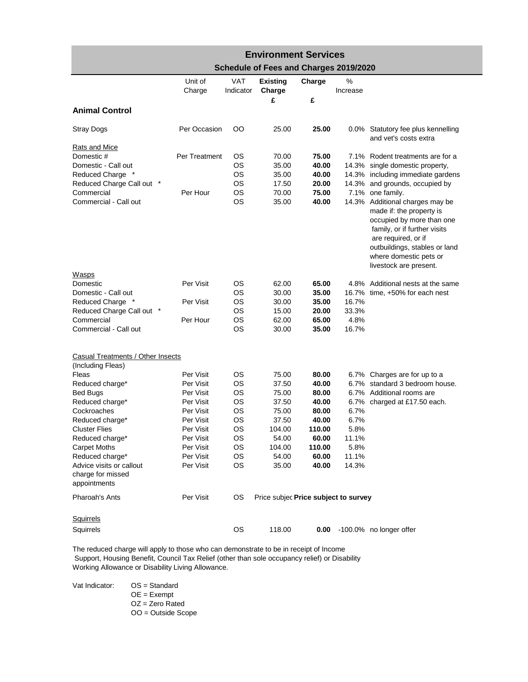| <b>Environment Services</b>                                   |               |            |                                        |        |          |                                                                                                                                                                         |  |  |  |
|---------------------------------------------------------------|---------------|------------|----------------------------------------|--------|----------|-------------------------------------------------------------------------------------------------------------------------------------------------------------------------|--|--|--|
|                                                               |               |            | Schedule of Fees and Charges 2019/2020 |        |          |                                                                                                                                                                         |  |  |  |
|                                                               | Unit of       | <b>VAT</b> | <b>Existing</b>                        | Charge | %        |                                                                                                                                                                         |  |  |  |
|                                                               | Charge        | Indicator  | Charge<br>£                            | £      | Increase |                                                                                                                                                                         |  |  |  |
| <b>Animal Control</b>                                         |               |            |                                        |        |          |                                                                                                                                                                         |  |  |  |
|                                                               |               |            |                                        |        |          |                                                                                                                                                                         |  |  |  |
| <b>Stray Dogs</b>                                             | Per Occasion  | OO.        | 25.00                                  | 25.00  |          | 0.0% Statutory fee plus kennelling<br>and vet's costs extra                                                                                                             |  |  |  |
| <b>Rats and Mice</b><br>Domestic #                            | Per Treatment | ОS         | 70.00                                  | 75.00  |          | 7.1% Rodent treatments are for a                                                                                                                                        |  |  |  |
| Domestic - Call out                                           |               | <b>OS</b>  | 35.00                                  | 40.00  |          | 14.3% single domestic property,                                                                                                                                         |  |  |  |
| Reduced Charge *                                              |               | <b>OS</b>  | 35.00                                  | 40.00  |          | 14.3% including immediate gardens                                                                                                                                       |  |  |  |
| Reduced Charge Call out *                                     |               | <b>OS</b>  | 17.50                                  | 20.00  |          | 14.3% and grounds, occupied by                                                                                                                                          |  |  |  |
| Commercial                                                    | Per Hour      | <b>OS</b>  | 70.00                                  | 75.00  |          | 7.1% one family.                                                                                                                                                        |  |  |  |
| Commercial - Call out                                         |               | <b>OS</b>  | 35.00                                  | 40.00  |          | 14.3% Additional charges may be                                                                                                                                         |  |  |  |
|                                                               |               |            |                                        |        |          | made if: the property is<br>occupied by more than one<br>family, or if further visits<br>are required, or if<br>outbuildings, stables or land<br>where domestic pets or |  |  |  |
|                                                               |               |            |                                        |        |          | livestock are present.                                                                                                                                                  |  |  |  |
| <b>Wasps</b>                                                  |               |            |                                        |        |          |                                                                                                                                                                         |  |  |  |
| Domestic                                                      | Per Visit     | <b>OS</b>  | 62.00                                  | 65.00  |          | 4.8% Additional nests at the same                                                                                                                                       |  |  |  |
| Domestic - Call out                                           |               | <b>OS</b>  | 30.00                                  | 35.00  | 16.7%    | time, +50% for each nest                                                                                                                                                |  |  |  |
| Reduced Charge *                                              | Per Visit     | <b>OS</b>  | 30.00                                  | 35.00  | 16.7%    |                                                                                                                                                                         |  |  |  |
| Reduced Charge Call out *                                     |               | OS         | 15.00                                  | 20.00  | 33.3%    |                                                                                                                                                                         |  |  |  |
| Commercial                                                    | Per Hour      | OS         | 62.00                                  | 65.00  | 4.8%     |                                                                                                                                                                         |  |  |  |
| Commercial - Call out                                         |               | <b>OS</b>  | 30.00                                  | 35.00  | 16.7%    |                                                                                                                                                                         |  |  |  |
| Casual Treatments / Other Insects                             |               |            |                                        |        |          |                                                                                                                                                                         |  |  |  |
| (Including Fleas)                                             |               |            |                                        |        |          |                                                                                                                                                                         |  |  |  |
| Fleas                                                         | Per Visit     | ОS         | 75.00                                  | 80.00  |          | 6.7% Charges are for up to a                                                                                                                                            |  |  |  |
| Reduced charge*                                               | Per Visit     | <b>OS</b>  | 37.50                                  | 40.00  |          | 6.7% standard 3 bedroom house.                                                                                                                                          |  |  |  |
| <b>Bed Bugs</b>                                               | Per Visit     | <b>OS</b>  | 75.00                                  | 80.00  |          | 6.7% Additional rooms are                                                                                                                                               |  |  |  |
| Reduced charge*                                               | Per Visit     | <b>OS</b>  | 37.50                                  | 40.00  |          | 6.7% charged at £17.50 each.                                                                                                                                            |  |  |  |
| Cockroaches                                                   | Per Visit     | <b>OS</b>  | 75.00                                  | 80.00  | 6.7%     |                                                                                                                                                                         |  |  |  |
| Reduced charge*                                               | Per Visit     | <b>OS</b>  | 37.50                                  | 40.00  | 6.7%     |                                                                                                                                                                         |  |  |  |
| <b>Cluster Flies</b>                                          | Per Visit     | ОS         | 104.00                                 | 110.00 | 5.8%     |                                                                                                                                                                         |  |  |  |
| Reduced charge*                                               | Per Visit     | OS         | 54.00                                  | 60.00  | 11.1%    |                                                                                                                                                                         |  |  |  |
| <b>Carpet Moths</b>                                           | Per Visit     | OS         | 104.00                                 | 110.00 | 5.8%     |                                                                                                                                                                         |  |  |  |
| Reduced charge*                                               | Per Visit     | OS         | 54.00                                  | 60.00  | 11.1%    |                                                                                                                                                                         |  |  |  |
| Advice visits or callout<br>charge for missed<br>appointments | Per Visit     | OS         | 35.00                                  | 40.00  | 14.3%    |                                                                                                                                                                         |  |  |  |
| Pharoah's Ants                                                | Per Visit     | OS.        | Price subjec Price subject to survey   |        |          |                                                                                                                                                                         |  |  |  |
| <b>Squirrels</b>                                              |               |            |                                        |        |          |                                                                                                                                                                         |  |  |  |
| Squirrels                                                     |               | ОS         | 118.00                                 | 0.00   |          | -100.0% no longer offer                                                                                                                                                 |  |  |  |

The reduced charge will apply to those who can demonstrate to be in receipt of Income Support, Housing Benefit, Council Tax Relief (other than sole occupancy relief) or Disability Working Allowance or Disability Living Allowance.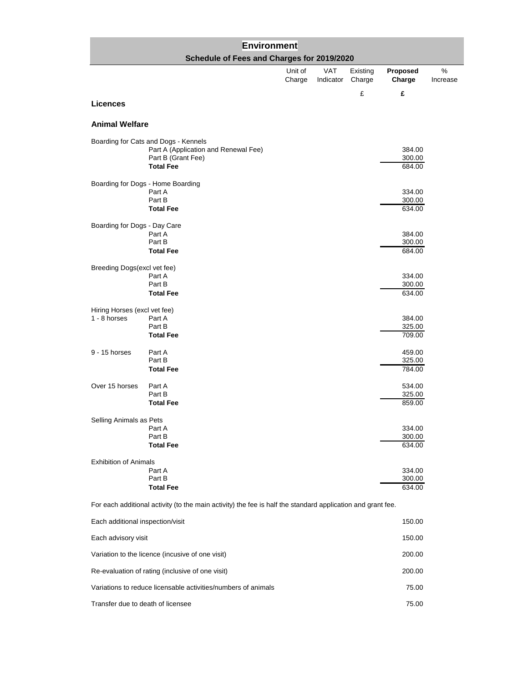| Environment                      |                                                                                                                        |         |            |          |                            |          |
|----------------------------------|------------------------------------------------------------------------------------------------------------------------|---------|------------|----------|----------------------------|----------|
|                                  | Schedule of Fees and Charges for 2019/2020                                                                             | Unit of | <b>VAT</b> | Existing | Proposed                   | %        |
|                                  |                                                                                                                        | Charge  | Indicator  | Charge   | Charge                     | Increase |
| <b>Licences</b>                  |                                                                                                                        |         |            | £        | £                          |          |
|                                  |                                                                                                                        |         |            |          |                            |          |
| <b>Animal Welfare</b>            |                                                                                                                        |         |            |          |                            |          |
|                                  | Boarding for Cats and Dogs - Kennels<br>Part A (Application and Renewal Fee)<br>Part B (Grant Fee)<br><b>Total Fee</b> |         |            |          | 384.00<br>300.00<br>684.00 |          |
|                                  |                                                                                                                        |         |            |          |                            |          |
|                                  | Boarding for Dogs - Home Boarding<br>Part A<br>Part B<br><b>Total Fee</b>                                              |         |            |          | 334.00<br>300.00<br>634.00 |          |
| Boarding for Dogs - Day Care     | Part A<br>Part B<br><b>Total Fee</b>                                                                                   |         |            |          | 384.00<br>300.00<br>684.00 |          |
| Breeding Dogs(excl vet fee)      |                                                                                                                        |         |            |          |                            |          |
|                                  | Part A<br>Part B<br><b>Total Fee</b>                                                                                   |         |            |          | 334.00<br>300.00<br>634.00 |          |
| Hiring Horses (excl vet fee)     |                                                                                                                        |         |            |          |                            |          |
| 1 - 8 horses                     | Part A<br>Part B                                                                                                       |         |            |          | 384.00<br>325.00           |          |
|                                  | <b>Total Fee</b>                                                                                                       |         |            |          | 709.00                     |          |
| $9 - 15$ horses                  | Part A<br>Part B<br><b>Total Fee</b>                                                                                   |         |            |          | 459.00<br>325.00<br>784.00 |          |
| Over 15 horses                   | Part A<br>Part B                                                                                                       |         |            |          | 534.00<br>325.00           |          |
|                                  | <b>Total Fee</b>                                                                                                       |         |            |          | 859.00                     |          |
| Selling Animals as Pets          | Part A<br>Part B<br><b>Total Fee</b>                                                                                   |         |            |          | 334.00<br>300.00<br>634.00 |          |
| <b>Exhibition of Animals</b>     | Part A<br>Part B<br><b>Total Fee</b>                                                                                   |         |            |          | 334.00<br>300.00<br>634.00 |          |
|                                  | For each additional activity (to the main activity) the fee is half the standard application and grant fee.            |         |            |          |                            |          |
| Each additional inspection/visit |                                                                                                                        |         |            |          | 150.00                     |          |
| Each advisory visit              |                                                                                                                        |         |            |          | 150.00                     |          |
|                                  | Variation to the licence (incusive of one visit)                                                                       |         |            |          | 200.00                     |          |
|                                  | Re-evaluation of rating (inclusive of one visit)                                                                       |         |            |          | 200.00                     |          |

Variations to reduce licensable activities/numbers of animals 75.00 Transfer due to death of licensee 75.00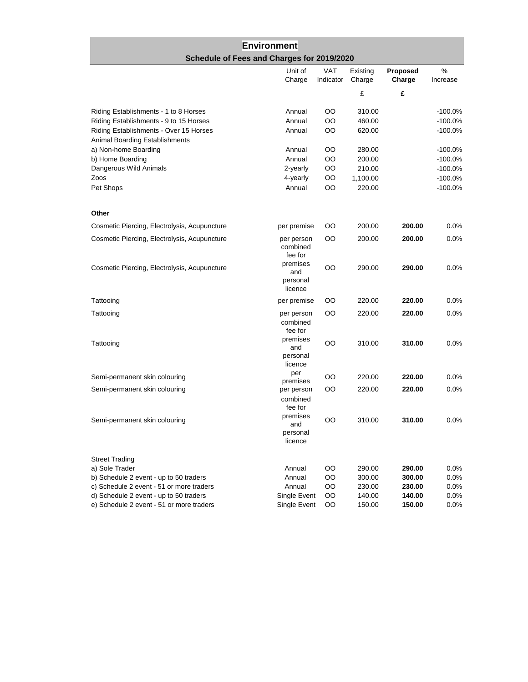## **Environment Schedule of Fees and Charges for 2019/2020**

|                                              | Unit of<br>Charge                      | <b>VAT</b><br>Indicator | Existing<br>Charge | Proposed<br>Charge | %<br>Increase |
|----------------------------------------------|----------------------------------------|-------------------------|--------------------|--------------------|---------------|
|                                              |                                        |                         | £                  | £                  |               |
| Riding Establishments - 1 to 8 Horses        | Annual                                 | OO                      | 310.00             |                    | $-100.0%$     |
| Riding Establishments - 9 to 15 Horses       | Annual                                 | OO                      | 460.00             |                    | $-100.0%$     |
| Riding Establishments - Over 15 Horses       | Annual                                 | OO                      | 620.00             |                    | $-100.0%$     |
| Animal Boarding Establishments               |                                        |                         |                    |                    |               |
| a) Non-home Boarding                         | Annual                                 | OO                      | 280.00             |                    | $-100.0%$     |
| b) Home Boarding                             | Annual                                 | OO                      | 200.00             |                    | $-100.0%$     |
| Dangerous Wild Animals                       | 2-yearly                               | OO                      | 210.00             |                    | $-100.0%$     |
| Zoos                                         | 4-yearly                               | OO                      | 1,100.00           |                    | $-100.0%$     |
| Pet Shops                                    | Annual                                 | OO                      | 220.00             |                    | $-100.0%$     |
| Other                                        |                                        |                         |                    |                    |               |
| Cosmetic Piercing, Electrolysis, Acupuncture | per premise                            | OO                      | 200.00             | 200.00             | 0.0%          |
| Cosmetic Piercing, Electrolysis, Acupuncture | per person<br>combined<br>fee for      | OO                      | 200.00             | 200.00             | 0.0%          |
| Cosmetic Piercing, Electrolysis, Acupuncture | premises<br>and<br>personal<br>licence | OO                      | 290.00             | 290.00             | 0.0%          |
| Tattooing                                    | per premise                            | OO                      | 220.00             | 220.00             | 0.0%          |
| Tattooing                                    | per person<br>combined<br>fee for      | OO                      | 220.00             | 220.00             | 0.0%          |
| Tattooing                                    | premises<br>and<br>personal<br>licence | OO                      | 310.00             | 310.00             | 0.0%          |
| Semi-permanent skin colouring                | per<br>premises                        | OO                      | 220.00             | 220.00             | 0.0%          |
| Semi-permanent skin colouring                | per person<br>combined<br>fee for      | OO                      | 220.00             | 220.00             | 0.0%          |
| Semi-permanent skin colouring                | premises<br>and<br>personal<br>licence | OO                      | 310.00             | 310.00             | 0.0%          |
| <b>Street Trading</b>                        |                                        |                         |                    |                    |               |
| a) Sole Trader                               | Annual                                 | OO                      | 290.00             | 290.00             | 0.0%          |
| b) Schedule 2 event - up to 50 traders       | Annual                                 | OO                      | 300.00             | 300.00             | 0.0%          |
| c) Schedule 2 event - 51 or more traders     | Annual                                 | OO                      | 230.00             | 230.00             | 0.0%          |
| d) Schedule 2 event - up to 50 traders       | Single Event                           | OO                      | 140.00             | 140.00             | 0.0%          |
| e) Schedule 2 event - 51 or more traders     | Single Event                           | OO                      | 150.00             | 150.00             | 0.0%          |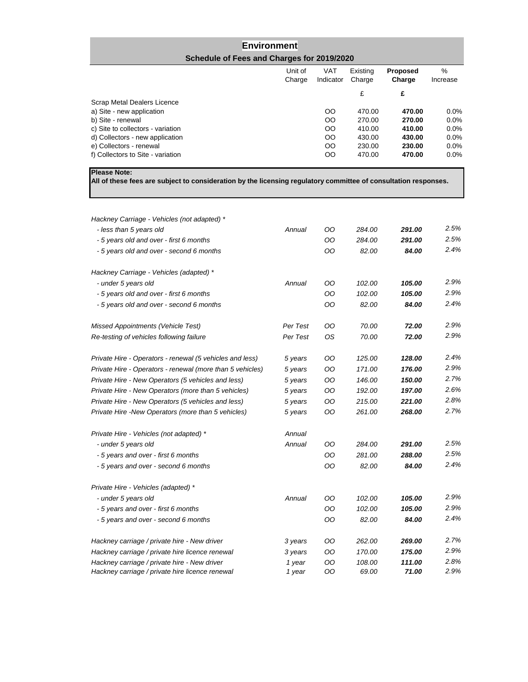## **Environment Schedule of Fees and Charges for 2019/2020**

|                                   | Unit of<br>Charge | <b>VAT</b><br>Indicator | Existing<br>Charge | <b>Proposed</b><br>Charge | %<br>Increase |
|-----------------------------------|-------------------|-------------------------|--------------------|---------------------------|---------------|
|                                   |                   |                         | £                  | £                         |               |
| Scrap Metal Dealers Licence       |                   |                         |                    |                           |               |
| a) Site - new application         |                   | OO.                     | 470.00             | 470.00                    | $0.0\%$       |
| b) Site - renewal                 |                   | <sub>00</sub>           | 270.00             | 270.00                    | $0.0\%$       |
| c) Site to collectors - variation |                   | $_{\rm OO}$             | 410.00             | 410.00                    | $0.0\%$       |
| d) Collectors - new application   |                   | OO                      | 430.00             | 430.00                    | $0.0\%$       |
| e) Collectors - renewal           |                   | <sub>00</sub>           | 230.00             | 230.00                    | $0.0\%$       |
| f) Collectors to Site - variation |                   | <sub>00</sub>           | 470.00             | 470.00                    | $0.0\%$       |

**Please Note:**

**All of these fees are subject to consideration by the licensing regulatory committee of consultation responses.**

| Hackney Carriage - Vehicles (not adapted) *                                                     |                  |           |                 |                 |              |
|-------------------------------------------------------------------------------------------------|------------------|-----------|-----------------|-----------------|--------------|
| - less than 5 years old                                                                         | Annual           | OO        | 284.00          | 291.00          | 2.5%         |
| - 5 years old and over - first 6 months                                                         |                  | OO        | 284.00          | 291.00          | 2.5%         |
| - 5 years old and over - second 6 months                                                        |                  | OO        | 82.00           | 84.00           | 2.4%         |
| Hackney Carriage - Vehicles (adapted) *                                                         |                  |           |                 |                 |              |
| - under 5 years old                                                                             | Annual           | OO        | 102.00          | 105.00          | 2.9%         |
| - 5 years old and over - first 6 months                                                         |                  | OO        | 102.00          | 105.00          | 2.9%         |
| - 5 years old and over - second 6 months                                                        |                  | OO        | 82.00           | 84.00           | 2.4%         |
| <b>Missed Appointments (Vehicle Test)</b>                                                       | Per Test         | OO.       | 70.00           | 72.00           | 2.9%         |
| Re-testing of vehicles following failure                                                        | Per Test         | <b>OS</b> | 70.00           | 72.00           | 2.9%         |
| Private Hire - Operators - renewal (5 vehicles and less)                                        | 5 years          | OO        | 125.00          | 128.00          | 2.4%         |
| Private Hire - Operators - renewal (more than 5 vehicles)                                       | 5 years          | OO        | 171.00          | 176.00          | 2.9%         |
| Private Hire - New Operators (5 vehicles and less)                                              | 5 years          | OO        | 146.00          | 150.00          | 2.7%         |
| Private Hire - New Operators (more than 5 vehicles)                                             | 5 years          | OO        | 192.00          | 197.00          | 2.6%         |
| Private Hire - New Operators (5 vehicles and less)                                              | 5 years          | OO.       | 215.00          | 221.00          | 2.8%         |
| Private Hire -New Operators (more than 5 vehicles)                                              | 5 years          | OO        | 261.00          | 268.00          | 2.7%         |
| Private Hire - Vehicles (not adapted) *                                                         | Annual           |           |                 |                 |              |
| - under 5 years old                                                                             | Annual           | OO        | 284.00          | 291.00          | 2.5%         |
| - 5 years and over - first 6 months                                                             |                  | OO        | 281.00          | 288.00          | 2.5%         |
| - 5 years and over - second 6 months                                                            |                  | OO        | 82.00           | 84.00           | 2.4%         |
| Private Hire - Vehicles (adapted) *                                                             |                  |           |                 |                 |              |
| - under 5 years old                                                                             | Annual           | OO        | 102.00          | 105.00          | 2.9%         |
| - 5 years and over - first 6 months                                                             |                  | OO        | 102.00          | 105.00          | 2.9%         |
| - 5 years and over - second 6 months                                                            |                  | OO        | 82.00           | 84.00           | 2.4%         |
| Hackney carriage / private hire - New driver                                                    | 3 years          | OO        | 262.00          | 269.00          | 2.7%         |
| Hackney carriage / private hire licence renewal                                                 | 3 years          | OO        | 170.00          | 175.00          | 2.9%         |
| Hackney carriage / private hire - New driver<br>Hackney carriage / private hire licence renewal | 1 year<br>1 year | OO<br>OO  | 108.00<br>69.00 | 111.00<br>71.00 | 2.8%<br>2.9% |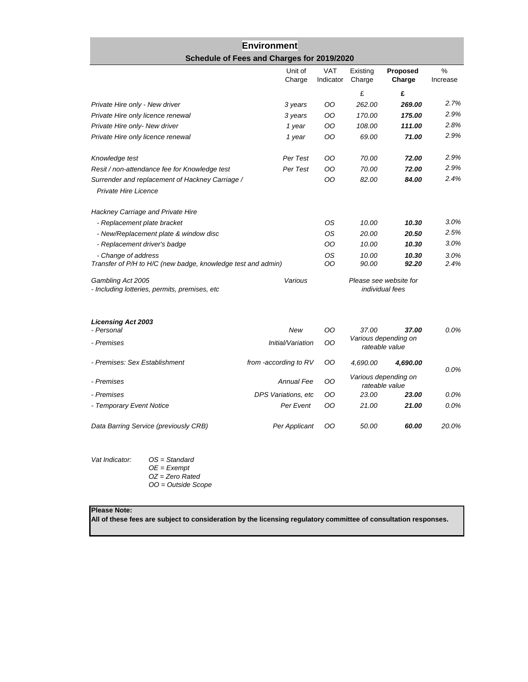## **Environment Schedule of Fees and Charges for 2019/2020**

|                                                                                     | Unit of<br>Charge     | <b>VAT</b><br>Indicator | Existing<br>Charge                     | Proposed<br>Charge                               | $\%$<br>Increase |
|-------------------------------------------------------------------------------------|-----------------------|-------------------------|----------------------------------------|--------------------------------------------------|------------------|
|                                                                                     |                       |                         | £                                      | £                                                |                  |
| Private Hire only - New driver                                                      | 3 years               | OO                      | 262.00                                 | 269.00                                           | 2.7%             |
| Private Hire only licence renewal                                                   | 3 years               | OO                      | 170.00                                 | 175.00                                           | 2.9%             |
| Private Hire only- New driver                                                       | 1 year                | OO                      | 108.00                                 | 111.00                                           | 2.8%             |
| Private Hire only licence renewal                                                   | 1 year                | OO                      | 69.00                                  | 71.00                                            | 2.9%             |
| Knowledge test                                                                      | Per Test              | OO                      | 70.00                                  | 72.00                                            | 2.9%             |
| Resit / non-attendance fee for Knowledge test                                       | Per Test              | OO                      | 70.00                                  | 72.00                                            | 2.9%             |
| Surrender and replacement of Hackney Carriage /                                     |                       | OO                      | 82.00                                  | 84.00                                            | 2.4%             |
| Private Hire Licence                                                                |                       |                         |                                        |                                                  |                  |
| Hackney Carriage and Private Hire                                                   |                       |                         |                                        |                                                  |                  |
| - Replacement plate bracket                                                         |                       | ΟS                      | 10.00                                  | 10.30                                            | 3.0%             |
| - New/Replacement plate & window disc                                               |                       | <b>OS</b>               | 20.00                                  | 20.50                                            | 2.5%             |
| - Replacement driver's badge                                                        |                       | OO                      | 10.00                                  | 10.30                                            | 3.0%             |
| - Change of address<br>Transfer of P/H to H/C (new badge, knowledge test and admin) |                       |                         | 10.00<br>90.00                         | 10.30<br>92.20                                   | 3.0%<br>2.4%     |
| Gambling Act 2005<br>- Including lotteries, permits, premises, etc                  | Various               |                         |                                        | Please see website for<br><i>individual</i> fees |                  |
| <b>Licensing Act 2003</b><br>- Personal                                             | New                   | OO                      | 37.00                                  | 37.00                                            | $0.0\%$          |
| - Premises                                                                          | Initial/Variation     | OO                      |                                        | Various depending on<br>rateable value           |                  |
| - Premises: Sex Establishment                                                       | from -according to RV | OO                      | 4,690.00                               | 4,690.00                                         | 0.0%             |
| - Premises                                                                          | <b>Annual Fee</b>     |                         | Various depending on<br>rateable value |                                                  |                  |
| - Premises                                                                          | DPS Variations, etc   | OO                      | 23.00                                  | 23.00                                            | 0.0%             |
| - Temporary Event Notice                                                            | Per Event             | OO                      | 21.00                                  | 21.00                                            | 0.0%             |
| Data Barring Service (previously CRB)                                               | Per Applicant         | OO                      | 50.00                                  | 60.00                                            | 20.0%            |

| Vat Indicator: | $OS = Standard$      |
|----------------|----------------------|
|                | $OE = Exempt$        |
|                | $OZ = Zero Rate$     |
|                | $OO = Outside$ Scope |
|                |                      |

### **Please Note:**

**All of these fees are subject to consideration by the licensing regulatory committee of consultation responses.**